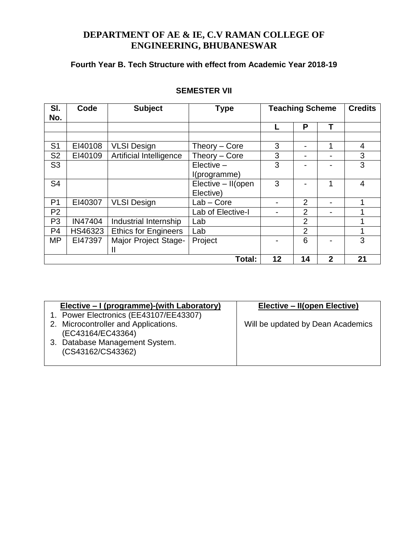# **DEPARTMENT OF AE & IE, C.V RAMAN COLLEGE OF ENGINEERING, BHUBANESWAR**

# **Fourth Year B. Tech Structure with effect from Academic Year 2018-19**

| SI.            | Code    | <b>Subject</b>              | <b>Type</b>        | <b>Teaching Scheme</b> |                |                | <b>Credits</b> |
|----------------|---------|-----------------------------|--------------------|------------------------|----------------|----------------|----------------|
| No.            |         |                             |                    |                        |                |                |                |
|                |         |                             |                    |                        | P              | Т              |                |
|                |         |                             |                    |                        |                |                |                |
| S <sub>1</sub> | EI40108 | <b>VLSI Design</b>          | Theory – Core      | 3                      |                | 4              | 4              |
| S <sub>2</sub> | EI40109 | Artificial Intelligence     | Theory – Core      | 3                      |                |                | 3              |
| S <sub>3</sub> |         |                             | $E$ lective $-$    | 3                      |                |                | 3              |
|                |         |                             | I(programme)       |                        |                |                |                |
| S <sub>4</sub> |         |                             | Elective - II(open | 3                      |                | 1              | 4              |
|                |         |                             | Elective)          |                        |                |                |                |
| P <sub>1</sub> | EI40307 | <b>VLSI Design</b>          | Lab - Core         |                        | 2              |                |                |
| P <sub>2</sub> |         |                             | Lab of Elective-I  |                        | $\overline{2}$ |                |                |
| P <sub>3</sub> | IN47404 | Industrial Internship       | Lab                |                        | 2              |                | 1              |
| P <sub>4</sub> | HS46323 | <b>Ethics for Engineers</b> | Lab                |                        | $\overline{2}$ |                |                |
| <b>MP</b>      | EI47397 | Major Project Stage-        | Project<br>6       |                        |                | 3              |                |
|                |         | Ш                           |                    |                        |                |                |                |
|                | Total:  |                             |                    |                        | 14             | $\overline{2}$ | 21             |

# **SEMESTER VII**

| Elective – I (programme)-(with Laboratory) | Elective – II(open Elective)      |
|--------------------------------------------|-----------------------------------|
| 1. Power Electronics (EE43107/EE43307)     |                                   |
| 2. Microcontroller and Applications.       | Will be updated by Dean Academics |
| (EC43164/EC43364)                          |                                   |
| 3. Database Management System.             |                                   |
| (CS43162/CS43362)                          |                                   |
|                                            |                                   |
|                                            |                                   |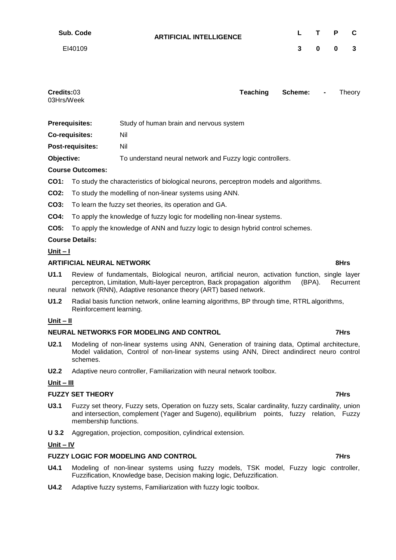| Sub. Code | <b>ARTIFICIAL INTELLIGENCE</b> |              | L T P C             |  |
|-----------|--------------------------------|--------------|---------------------|--|
| EI40109   |                                | $\mathbf{3}$ | $0 \quad 0 \quad 3$ |  |

| Credits:03 | Teaching | Scheme: - | Theory |
|------------|----------|-----------|--------|
| 03Hrs/Week |          |           |        |
|            |          |           |        |

| <b>Prerequisites:</b> | Study of human brain and nervous system |  |
|-----------------------|-----------------------------------------|--|
|-----------------------|-----------------------------------------|--|

**Co-requisites:** Nil

**Post-requisites:** Nil

**Objective:** To understand neural network and Fuzzy logic controllers.

# **Course Outcomes:**

- **CO1:** To study the characteristics of biological neurons, perceptron models and algorithms.
- **CO2:** To study the modelling of non-linear systems using ANN.
- **CO3:** To learn the fuzzy set theories, its operation and GA.
- **CO4:** To apply the knowledge of fuzzy logic for modelling non-linear systems.
- **CO5:** To apply the knowledge of ANN and fuzzy logic to design hybrid control schemes.

# **Course Details:**

## **Unit – I**

# **ARTIFICIAL NEURAL NETWORK 8Hrs**

- **U1.1** Review of fundamentals, Biological neuron, artificial neuron, activation function, single layer perceptron, Limitation, Multi-layer perceptron, Back propagation algorithm (BPA). Recurrent neural network (RNN), Adaptive resonance theory (ART) based network.
- **U1.2** Radial basis function network, online learning algorithms, BP through time, RTRL algorithms, Reinforcement learning.

## **Unit – II**

# **NEURAL NETWORKS FOR MODELING AND CONTROL 40 CONTROL 25 CONTROL 25 CONTROL 25 CONTROL**

- **U2.1** Modeling of non-linear systems using ANN, Generation of training data, Optimal architecture, Model validation, Control of non-linear systems using ANN, Direct andindirect neuro control schemes.
- **U2.2** Adaptive neuro controller, Familiarization with neural network toolbox.

# **Unit – III**

# **FUZZY SET THEORY 7Hrs**

- **U3.1** Fuzzy set theory, Fuzzy sets, Operation on fuzzy sets, Scalar cardinality, fuzzy cardinality, union and intersection, complement (Yager and Sugeno), equilibrium points, fuzzy relation, Fuzzy membership functions.
- **U 3.2** Aggregation, projection, composition, cylindrical extension.

## **Unit – IV**

# **FUZZY LOGIC FOR MODELING AND CONTROL 400 CONTROL 400 CONTROL**

- **U4.1** Modeling of non-linear systems using fuzzy models, TSK model, Fuzzy logic controller, Fuzzification, Knowledge base, Decision making logic, Defuzzification.
- **U4.2** Adaptive fuzzy systems, Familiarization with fuzzy logic toolbox.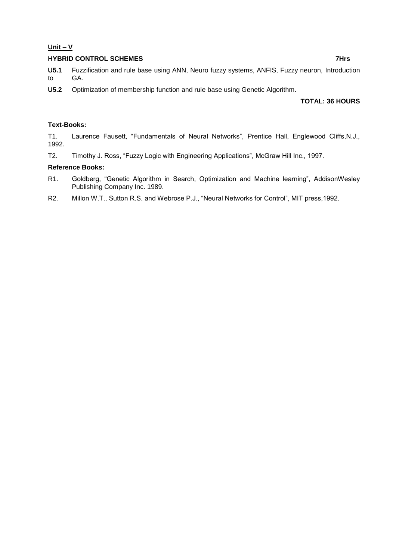# **Unit – V**

# **HYBRID CONTROL SCHEMES** 7Hrs

**U5.1** Fuzzification and rule base using ANN, Neuro fuzzy systems, ANFIS, Fuzzy neuron, Introduction to GA.

**U5.2** Optimization of membership function and rule base using Genetic Algorithm.

# **TOTAL: 36 HOURS**

# **Text-Books:**

T1. Laurence Fausett, "Fundamentals of Neural Networks", Prentice Hall, Englewood Cliffs,N.J., 1992.

T2. Timothy J. Ross, "Fuzzy Logic with Engineering Applications", McGraw Hill Inc., 1997.

## **Reference Books:**

- R1. Goldberg, "Genetic Algorithm in Search, Optimization and Machine learning", AddisonWesley Publishing Company Inc. 1989.
- R2. Millon W.T., Sutton R.S. and Webrose P.J., "Neural Networks for Control", MIT press,1992.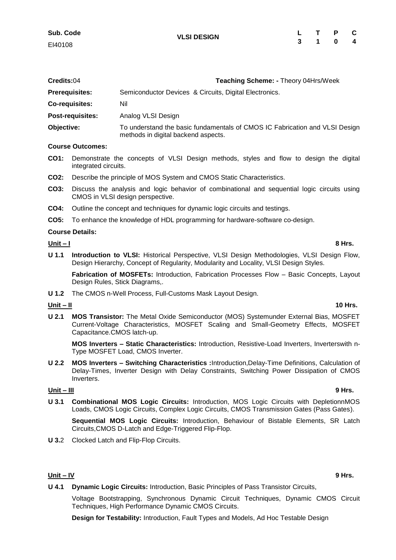| Credits:04            | <b>Teaching Scheme: - Theory 04Hrs/Week</b>            |
|-----------------------|--------------------------------------------------------|
| <b>Prerequisites:</b> | Semiconductor Devices & Circuits, Digital Electronics. |
| <b>Co-requisites:</b> | Nil                                                    |
| Post-requisites:      | Analog VLSI Design                                     |
| ALL STORES            |                                                        |

**Objective:** To understand the basic fundamentals of CMOS IC Fabrication and VLSI Design methods in digital backend aspects.

## **Course Outcomes:**

- **CO1:** Demonstrate the concepts of VLSI Design methods, styles and flow to design the digital integrated circuits.
- **CO2:** Describe the principle of MOS System and CMOS Static Characteristics.
- **CO3:** Discuss the analysis and logic behavior of combinational and sequential logic circuits using CMOS in VLSI design perspective.
- **CO4:** Outline the concept and techniques for dynamic logic circuits and testings.
- **CO5:** To enhance the knowledge of HDL programming for hardware-software co-design.

## **Course Details:**

## **Unit – I 8 Hrs.**

**U 1.1 Introduction to VLSI:** Historical Perspective, VLSI Design Methodologies, VLSI Design Flow, Design Hierarchy, Concept of Regularity, Modularity and Locality, VLSI Design Styles.

**Fabrication of MOSFETs:** Introduction, Fabrication Processes Flow – Basic Concepts, Layout Design Rules, Stick Diagrams,.

**U 1.2** The CMOS n-Well Process, Full-Customs Mask Layout Design.

## **Unit – II 10 Hrs.**

**U 2.1 MOS Transistor:** The Metal Oxide Semiconductor (MOS) Systemunder External Bias, MOSFET Current-Voltage Characteristics, MOSFET Scaling and Small-Geometry Effects, MOSFET Capacitance.CMOS latch-up.

**MOS Inverters – Static Characteristics:** Introduction, Resistive-Load Inverters, Inverterswith n-Type MOSFET Load, CMOS Inverter.

**U 2.2 MOS Inverters – Switching Characteristics :**Introduction,Delay-Time Definitions, Calculation of Delay-Times, Inverter Design with Delay Constraints, Switching Power Dissipation of CMOS Inverters.

## **Unit – III 9 Hrs.**

**U 3.1 Combinational MOS Logic Circuits:** Introduction, MOS Logic Circuits with DepletionnMOS Loads, CMOS Logic Circuits, Complex Logic Circuits, CMOS Transmission Gates (Pass Gates).

**Sequential MOS Logic Circuits:** Introduction, Behaviour of Bistable Elements, SR Latch Circuits,CMOS D-Latch and Edge-Triggered Flip-Flop.

**U 3.**2 Clocked Latch and Flip-Flop Circuits.

## **Unit – IV 9 Hrs.**

**U 4.1 Dynamic Logic Circuits:** Introduction, Basic Principles of Pass Transistor Circuits,

Voltage Bootstrapping, Synchronous Dynamic Circuit Techniques, Dynamic CMOS Circuit Techniques, High Performance Dynamic CMOS Circuits.

**Design for Testability:** Introduction, Fault Types and Models, Ad Hoc Testable Design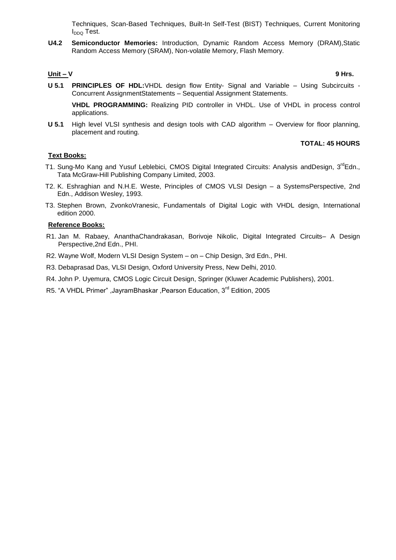Techniques, Scan-Based Techniques, Built-In Self-Test (BIST) Techniques, Current Monitoring I<sub>DDQ</sub> Test.

**U4.2 Semiconductor Memories:** Introduction, Dynamic Random Access Memory (DRAM),Static Random Access Memory (SRAM), Non-volatile Memory, Flash Memory.

## **Unit – V 9 Hrs.**

**U 5.1 PRINCIPLES OF HDL:**VHDL design flow Entity- Signal and Variable – Using Subcircuits - Concurrent AssignmentStatements – Sequential Assignment Statements.

**VHDL PROGRAMMING:** Realizing PID controller in VHDL. Use of VHDL in process control applications.

**U 5.1** High level VLSI synthesis and design tools with CAD algorithm – Overview for floor planning, placement and routing.

## **TOTAL: 45 HOURS**

## **Text Books:**

- T1. Sung-Mo Kang and Yusuf Leblebici, CMOS Digital Integrated Circuits: Analysis andDesign, 3<sup>rd</sup>Edn., Tata McGraw-Hill Publishing Company Limited, 2003.
- T2. K. Eshraghian and N.H.E. Weste, Principles of CMOS VLSI Design a SystemsPerspective, 2nd Edn., Addison Wesley, 1993.
- T3. Stephen Brown, ZvonkoVranesic, Fundamentals of Digital Logic with VHDL design, International edition 2000.

# **Reference Books:**

- R1. Jan M. Rabaey, AnanthaChandrakasan, Borivoje Nikolic, Digital Integrated Circuits– A Design Perspective,2nd Edn., PHI.
- R2. Wayne Wolf, Modern VLSI Design System on Chip Design, 3rd Edn., PHI.
- R3. Debaprasad Das, VLSI Design, Oxford University Press, New Delhi, 2010.
- R4. John P. Uyemura, CMOS Logic Circuit Design, Springer (Kluwer Academic Publishers), 2001.
- R5. "A VHDL Primer" ,JayramBhaskar ,Pearson Education, 3rd Edition, 2005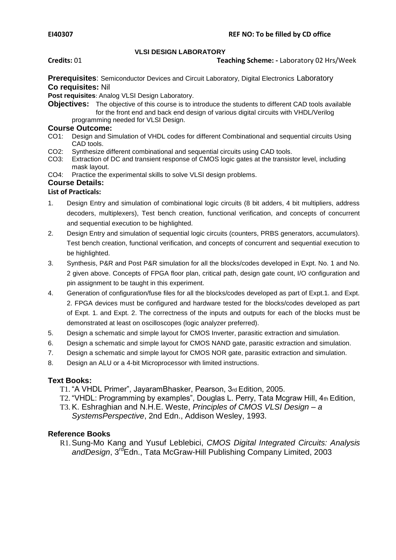## **VLSI DESIGN LABORATORY**

## **Credits:** 01 **Teaching Scheme: -** Laboratory 02 Hrs/Week

**Prerequisites**: Semiconductor Devices and Circuit Laboratory, Digital Electronics Laboratory **Co requisites:** Nil

**Post requisites**: Analog VLSI Design Laboratory.

**Objectives:** The objective of this course is to introduce the students to different CAD tools available for the front end and back end design of various digital circuits with VHDL/Verilog programming needed for VLSI Design.

# **Course Outcome:**<br>
CO1: Design and Si

- Design and Simulation of VHDL codes for different Combinational and sequential circuits Using CAD tools.
- CO2: Synthesize different combinational and sequential circuits using CAD tools.<br>CO3: Extraction of DC and transient response of CMOS logic gates at the transisi
- Extraction of DC and transient response of CMOS logic gates at the transistor level, including mask layout.
- CO4: Practice the experimental skills to solve VLSI design problems.

# **Course Details:**

## **List of Practicals:**

- 1. Design Entry and simulation of combinational logic circuits (8 bit adders, 4 bit multipliers, address decoders, multiplexers), Test bench creation, functional verification, and concepts of concurrent and sequential execution to be highlighted.
- 2. Design Entry and simulation of sequential logic circuits (counters, PRBS generators, accumulators). Test bench creation, functional verification, and concepts of concurrent and sequential execution to be highlighted.
- 3. Synthesis, P&R and Post P&R simulation for all the blocks/codes developed in Expt. No. 1 and No. 2 given above. Concepts of FPGA floor plan, critical path, design gate count, I/O configuration and pin assignment to be taught in this experiment.
- 4. Generation of configuration/fuse files for all the blocks/codes developed as part of Expt.1. and Expt. 2. FPGA devices must be configured and hardware tested for the blocks/codes developed as part of Expt. 1. and Expt. 2. The correctness of the inputs and outputs for each of the blocks must be demonstrated at least on oscilloscopes (logic analyzer preferred).
- 5. Design a schematic and simple layout for CMOS Inverter, parasitic extraction and simulation.
- 6. Design a schematic and simple layout for CMOS NAND gate, parasitic extraction and simulation.
- 7. Design a schematic and simple layout for CMOS NOR gate, parasitic extraction and simulation.
- 8. Design an ALU or a 4-bit Microprocessor with limited instructions.

## **Text Books:**

- T1. "A VHDL Primer", JayaramBhasker, Pearson, 3rd Edition, 2005.
- T2. "VHDL: Programming by examples", Douglas L. Perry, Tata Mcgraw Hill, 4th Edition,
- T3. K. Eshraghian and N.H.E. Weste, *Principles of CMOS VLSI Design – a SystemsPerspective*, 2nd Edn., Addison Wesley, 1993.

## **Reference Books**

R1.Sung-Mo Kang and Yusuf Leblebici, *CMOS Digital Integrated Circuits: Analysis*  andDesign, 3<sup>rd</sup>Edn., Tata McGraw-Hill Publishing Company Limited, 2003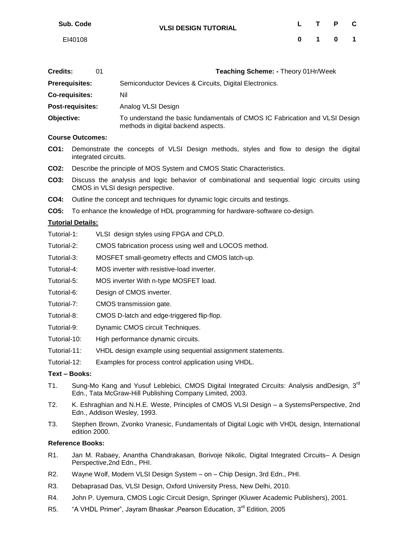| Sub. Code | <b>VLSI DESIGN TUTORIAL</b> | $\mathsf{L}$ | T P C   |  |
|-----------|-----------------------------|--------------|---------|--|
| EI40108   |                             |              | 0 1 0 1 |  |
|           |                             |              |         |  |

| <b>Credits:</b>       | 01 | Teaching Scheme: - Theory 01Hr/Week                                                                                |
|-----------------------|----|--------------------------------------------------------------------------------------------------------------------|
| <b>Prerequisites:</b> |    | Semiconductor Devices & Circuits, Digital Electronics.                                                             |
| Co-requisites:        |    | Nil                                                                                                                |
| Post-requisites:      |    | Analog VLSI Design                                                                                                 |
| Objective:            |    | To understand the basic fundamentals of CMOS IC Fabrication and VLSI Design<br>methods in digital backend aspects. |
| Course Outcomps:      |    |                                                                                                                    |

- **Course Outcomes:**
- **CO1:** Demonstrate the concepts of VLSI Design methods, styles and flow to design the digital integrated circuits.
- **CO2:** Describe the principle of MOS System and CMOS Static Characteristics.
- **CO3:** Discuss the analysis and logic behavior of combinational and sequential logic circuits using CMOS in VLSI design perspective.
- **CO4:** Outline the concept and techniques for dynamic logic circuits and testings.
- **CO5:** To enhance the knowledge of HDL programming for hardware-software co-design.

## **Tutorial Details:**

- Tutorial-1: VLSI design styles using FPGA and CPLD.
- Tutorial-2: CMOS fabrication process using well and LOCOS method.
- Tutorial-3: MOSFET small-geometry effects and CMOS latch-up.
- Tutorial-4: MOS inverter with resistive-load inverter.
- Tutorial-5: MOS inverter With n-type MOSFET load.
- Tutorial-6: Design of CMOS inverter.
- Tutorial-7: CMOS transmission gate.
- Tutorial-8: CMOS D-latch and edge-triggered flip-flop.
- Tutorial-9: Dynamic CMOS circuit Techniques.
- Tutorial-10: High performance dynamic circuits.
- Tutorial-11: VHDL design example using sequential assignment statements.
- Tutorial-12: Examples for process control application using VHDL.

## **Text – Books:**

- T1. Sung-Mo Kang and Yusuf Leblebici, CMOS Digital Integrated Circuits: Analysis andDesign, 3<sup>rd</sup> Edn., Tata McGraw-Hill Publishing Company Limited, 2003.
- T2. K. Eshraghian and N.H.E. Weste, Principles of CMOS VLSI Design a SystemsPerspective, 2nd Edn., Addison Wesley, 1993.
- T3. Stephen Brown, Zvonko Vranesic, Fundamentals of Digital Logic with VHDL design, International edition 2000.

## **Reference Books:**

- R1. Jan M. Rabaey, Anantha Chandrakasan, Borivoje Nikolic, Digital Integrated Circuits– A Design Perspective,2nd Edn., PHI.
- R2. Wayne Wolf, Modern VLSI Design System on Chip Design, 3rd Edn., PHI.
- R3. Debaprasad Das, VLSI Design, Oxford University Press, New Delhi, 2010.
- R4. John P. Uyemura, CMOS Logic Circuit Design, Springer (Kluwer Academic Publishers), 2001.
- R5. "A VHDL Primer", Jayram Bhaskar , Pearson Education, 3<sup>rd</sup> Edition, 2005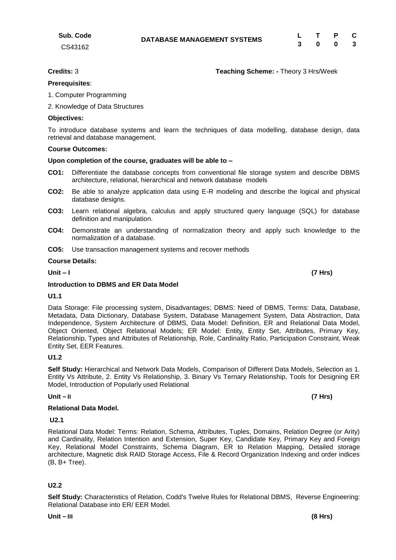# **Credits:** 3 **Teaching Scheme: -** Theory 3 Hrs/Week

# **Prerequisites**:

**Sub. Code** CS43162

- 1. Computer Programming
- 2. Knowledge of Data Structures

# **Objectives:**

To introduce database systems and learn the techniques of data modelling, database design, data retrieval and database management.

# **Course Outcomes:**

# **Upon completion of the course, graduates will be able to –**

- **CO1:** Differentiate the database concepts from conventional file storage system and describe DBMS architecture, relational, hierarchical and network database models
- **CO2:** Be able to analyze application data using E-R modeling and describe the logical and physical database designs.
- **CO3:** Learn relational algebra, calculus and apply structured query language (SQL) for database definition and manipulation.
- **CO4:** Demonstrate an understanding of normalization theory and apply such knowledge to the normalization of a database.
- **CO5:** Use transaction management systems and recover methods

## **Course Details:**

**Unit – I (7 Hrs)** 

# **Introduction to DBMS and ER Data Model**

## **U1.1**

Data Storage: File processing system, Disadvantages; DBMS: Need of DBMS, Terms: Data, Database, Metadata, Data Dictionary, Database System, Database Management System, Data Abstraction, Data Independence, System Architecture of DBMS, Data Model: Definition, ER and Relational Data Model, Object Oriented, Object Relational Models; ER Model: Entity, Entity Set, Attributes, Primary Key, Relationship, Types and Attributes of Relationship, Role, Cardinality Ratio, Participation Constraint, Weak Entity Set, EER Features.

# **U1.2**

**Self Study:** Hierarchical and Network Data Models, Comparison of Different Data Models, Selection as 1. Entity Vs Attribute, 2. Entity Vs Relationship, 3. Binary Vs Ternary Relationship, Tools for Designing ER Model, Introduction of Popularly used Relational

# **Unit – II (7 Hrs)**

## **Relational Data Model.**

# **U2.1**

Relational Data Model: Terms: Relation, Schema, Attributes, Tuples, Domains, Relation Degree (or Arity) and Cardinality, Relation Intention and Extension, Super Key, Candidate Key, Primary Key and Foreign Key, Relational Model Constraints, Schema Diagram, ER to Relation Mapping, Detailed storage architecture, Magnetic disk RAID Storage Access, File & Record Organization Indexing and order indices (B, B+ Tree).

# **U2.2**

**DATABASE MANAGEMENT SYSTEMS <sup>L</sup> <sup>T</sup> <sup>P</sup> <sup>C</sup> 3 0 0 3**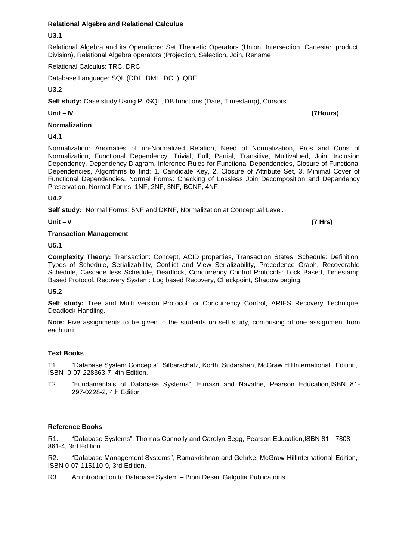# **Relational Algebra and Relational Calculus**

## **U3.1**

Relational Algebra and its Operations: Set Theoretic Operators (Union, Intersection, Cartesian product, Division), Relational Algebra operators (Projection, Selection, Join, Rename

Relational Calculus: TRC, DRC

Database Language: SQL (DDL, DML, DCL), QBE

## **U3.2**

**Self study:** Case study Using PL/SQL, DB functions (Date, Timestamp), Cursors

## **Normalization**

**U4.1**

Normalization: Anomalies of un-Normalized Relation, Need of Normalization, Pros and Cons of Normalization, Functional Dependency: Trivial, Full, Partial, Transitive, Multivalued, Join, Inclusion Dependency, Dependency Diagram, Inference Rules for Functional Dependencies, Closure of Functional Dependencies, Algorithms to find: 1. Candidate Key, 2. Closure of Attribute Set, 3. Minimal Cover of Functional Dependencies, Normal Forms: Checking of Lossless Join Decomposition and Dependency Preservation, Normal Forms: 1NF, 2NF, 3NF, BCNF, 4NF.

## **U4.2**

**Self study:** Normal Forms: 5NF and DKNF, Normalization at Conceptual Level.

**Unit – V (7 Hrs)**

## **Transaction Management**

**U5.1**

**Complexity Theory:** Transaction: Concept, ACID properties, Transaction States; Schedule: Definition, Types of Schedule, Serializability, Conflict and View Serializability, Precedence Graph, Recoverable Schedule, Cascade less Schedule, Deadlock, Concurrency Control Protocols: Lock Based, Timestamp Based Protocol, Recovery System: Log based Recovery, Checkpoint, Shadow paging.

## **U5.2**

**Self study:** Tree and Multi version Protocol for Concurrency Control, ARIES Recovery Technique, Deadlock Handling.

**Note:** Five assignments to be given to the students on self study, comprising of one assignment from each unit.

## **Text Books**

T1. "Database System Concepts", Silberschatz, Korth, Sudarshan, McGraw HillInternational Edition, ISBN- 0-07-228363-7, 4th Edition.

T2. "Fundamentals of Database Systems", Elmasri and Navathe, Pearson Education,ISBN 81- 297-0228-2, 4th Edition.

## **Reference Books**

R1. "Database Systems", Thomas Connolly and Carolyn Begg, Pearson Education,ISBN 81- 7808- 861-4, 3rd Edition.

R2. "Database Management Systems", Ramakrishnan and Gehrke, McGraw-HillInternational Edition, ISBN 0-07-115110-9, 3rd Edition.

R3. An introduction to Database System – Bipin Desai, Galgotia Publications

**Unit – IV (7Hours)**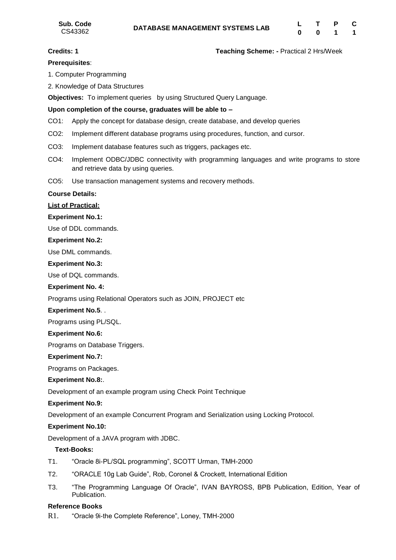## **Credits: 1 Teaching Scheme: -** Practical 2 Hrs/Week

# **Prerequisites**:

- 1. Computer Programming
- 2. Knowledge of Data Structures

**Objectives:** To implement queries by using Structured Query Language.

## **Upon completion of the course, graduates will be able to –**

- CO1: Apply the concept for database design, create database, and develop queries
- CO2: Implement different database programs using procedures, function, and cursor.
- CO3: Implement database features such as triggers, packages etc.
- CO4: Implement ODBC/JDBC connectivity with programming languages and write programs to store and retrieve data by using queries.
- CO5: Use transaction management systems and recovery methods.

## **Course Details:**

# **List of Practical:**

## **Experiment No.1:**

Use of DDL commands.

## **Experiment No.2:**

Use DML commands.

## **Experiment No.3:**

Use of DQL commands.

## **Experiment No. 4:**

Programs using Relational Operators such as JOIN, PROJECT etc

## **Experiment No.5**. .

Programs using PL/SQL.

## **Experiment No.6:**

Programs on Database Triggers.

## **Experiment No.7:**

Programs on Packages.

## **Experiment No.8:**.

Development of an example program using Check Point Technique

## **Experiment No.9:**

Development of an example Concurrent Program and Serialization using Locking Protocol.

## **Experiment No.10:**

Development of a JAVA program with JDBC.

## **Text-Books:**

- T1. "Oracle 8i-PL/SQL programming", SCOTT Urman, TMH-2000
- T2. "ORACLE 10g Lab Guide", Rob, Coronel & Crockett, International Edition
- T3. "The Programming Language Of Oracle", IVAN BAYROSS, BPB Publication, Edition, Year of Publication.

## **Reference Books**

R1. "Oracle 9i-the Complete Reference", Loney, TMH-2000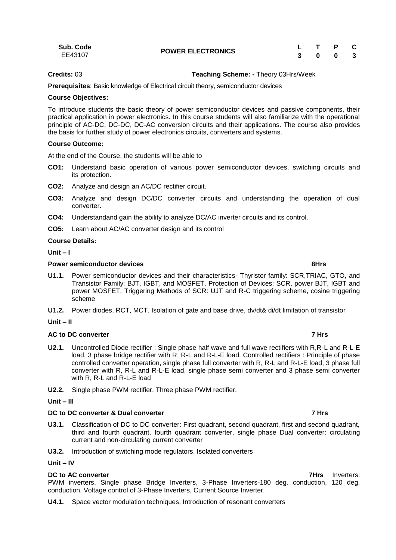| Sub. Code | <b>POWER ELECTRONICS</b> | L T P C |  |  |
|-----------|--------------------------|---------|--|--|
| EE43107   |                          | 3 0 0 3 |  |  |

## **Credits:** 03 **Teaching Scheme: -** Theory 03Hrs/Week

**Prerequisites**: Basic knowledge of Electrical circuit theory, semiconductor devices

## **Course Objectives:**

To introduce students the basic theory of power semiconductor devices and passive components, their practical application in power electronics. In this course students will also familiarize with the operational principle of AC-DC, DC-DC, DC-AC conversion circuits and their applications. The course also provides the basis for further study of power electronics circuits, converters and systems.

## **Course Outcome:**

At the end of the Course, the students will be able to

- **CO1:** Understand basic operation of various power semiconductor devices, switching circuits and its protection.
- **CO2:** Analyze and design an AC/DC rectifier circuit.
- **CO3:** Analyze and design DC/DC converter circuits and understanding the operation of dual converter.
- **CO4:** Understandand gain the ability to analyze DC/AC inverter circuits and its control.
- **CO5:** Learn about AC/AC converter design and its control

## **Course Details:**

**Unit – I** 

## **Power semiconductor devices 8Hrs**

- **U1.1.** Power semiconductor devices and their characteristics- Thyristor family: SCR,TRIAC, GTO, and Transistor Family: BJT, IGBT, and MOSFET. Protection of Devices: SCR, power BJT, IGBT and power MOSFET, Triggering Methods of SCR: UJT and R-C triggering scheme, cosine triggering scheme
- **U1.2.** Power diodes, RCT, MCT. Isolation of gate and base drive, dv/dt& di/dt limitation of transistor

## **Unit – II**

## **AC to DC converter 7 Hrs**

- **U2.1.** Uncontrolled Diode rectifier : Single phase half wave and full wave rectifiers with R,R-L and R-L-E load, 3 phase bridge rectifier with R, R-L and R-L-E load. Controlled rectifiers : Principle of phase controlled converter operation, single phase full converter with R, R-L and R-L-E load, 3 phase full converter with R, R-L and R-L-E load, single phase semi converter and 3 phase semi converter with R, R-L and R-L-E load
- **U2.2.** Single phase PWM rectifier, Three phase PWM rectifier.

## **Unit – III**

# **DC to DC converter & Dual converter 7 Hrs**

- **U3.1.** Classification of DC to DC converter: First quadrant, second quadrant, first and second quadrant, third and fourth quadrant, fourth quadrant converter, single phase Dual converter: circulating current and non-circulating current converter
- **U3.2.** Introduction of switching mode regulators, Isolated converters

## **Unit – IV**

## **DC to AC converter 7Hrs** Inverters:

PWM inverters, Single phase Bridge Inverters, 3-Phase Inverters-180 deg. conduction, 120 deg. conduction. Voltage control of 3-Phase Inverters, Current Source Inverter.

**U4.1.** Space vector modulation techniques, Introduction of resonant converters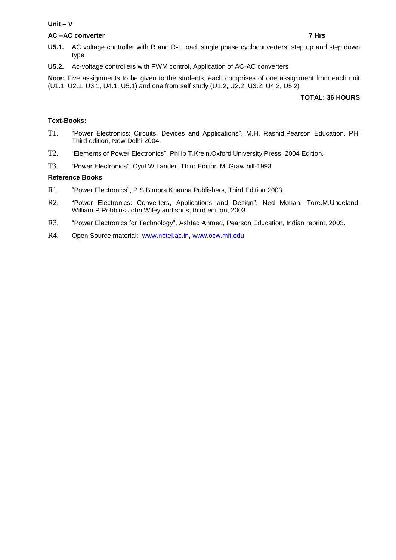## **Unit – V**

## **AC –AC converter 7 Hrs**

- **U5.1.** AC voltage controller with R and R-L load, single phase cycloconverters: step up and step down type
- **U5.2.** Ac-voltage controllers with PWM control, Application of AC-AC converters

**Note:** Five assignments to be given to the students, each comprises of one assignment from each unit (U1.1, U2.1, U3.1, U4.1, U5.1) and one from self study (U1.2, U2.2, U3.2, U4.2, U5.2)

# **TOTAL: 36 HOURS**

# **Text-Books:**

- T1. "Power Electronics: Circuits, Devices and Applications", M.H. Rashid,Pearson Education, PHI Third edition, New Delhi 2004.
- T2. "Elements of Power Electronics", Philip T.Krein,Oxford University Press, 2004 Edition.
- T3. "Power Electronics", Cyril W.Lander, Third Edition McGraw hill-1993

## **Reference Books**

- R1. "Power Electronics", P.S.Bimbra,Khanna Publishers, Third Edition 2003
- R2. "Power Electronics: Converters, Applications and Design", Ned Mohan, Tore.M.Undeland, William.P.Robbins,John Wiley and sons, third edition, 2003
- R3. "Power Electronics for Technology", Ashfaq Ahmed, Pearson Education, Indian reprint, 2003.
- R4. Open Source material: [www.nptel.ac.in,](http://www.nptel.ac.in/) [www.ocw.mit.edu](http://www.ocw.mit.edu/)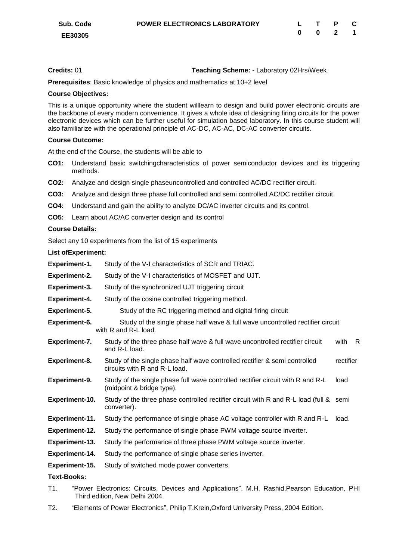# **Credits:** 01 **Teaching Scheme: -** Laboratory 02Hrs/Week

**Prerequisites**: Basic knowledge of physics and mathematics at 10+2 level

## **Course Objectives:**

This is a unique opportunity where the student willlearn to design and build power electronic circuits are the backbone of every modern convenience. It gives a whole idea of designing firing circuits for the power electronic devices which can be further useful for simulation based laboratory. In this course student will also familiarize with the operational principle of AC-DC, AC-AC, DC-AC converter circuits.

## **Course Outcome:**

At the end of the Course, the students will be able to

- **CO1:** Understand basic switchingcharacteristics of power semiconductor devices and its triggering methods.
- **CO2:** Analyze and design single phaseuncontrolled and controlled AC/DC rectifier circuit.
- **CO3:** Analyze and design three phase full controlled and semi controlled AC/DC rectifier circuit.
- **CO4:** Understand and gain the ability to analyze DC/AC inverter circuits and its control.
- **CO5:** Learn about AC/AC converter design and its control

## **Course Details:**

Select any 10 experiments from the list of 15 experiments

## **List ofExperiment:**

| <b>Experiment-1.</b>  | Study of the V-I characteristics of SCR and TRIAC.                                                           |           |    |
|-----------------------|--------------------------------------------------------------------------------------------------------------|-----------|----|
| <b>Experiment-2.</b>  | Study of the V-I characteristics of MOSFET and UJT.                                                          |           |    |
| Experiment-3.         | Study of the synchronized UJT triggering circuit                                                             |           |    |
| <b>Experiment-4.</b>  | Study of the cosine controlled triggering method.                                                            |           |    |
| <b>Experiment-5.</b>  | Study of the RC triggering method and digital firing circuit                                                 |           |    |
| Experiment-6.         | Study of the single phase half wave & full wave uncontrolled rectifier circuit<br>with R and R-L load.       |           |    |
| Experiment-7.         | Study of the three phase half wave & full wave uncontrolled rectifier circuit<br>and R-L load.               | with      | R. |
| Experiment-8.         | Study of the single phase half wave controlled rectifier & semi controlled<br>circuits with R and R-L load.  | rectifier |    |
| Experiment-9.         | Study of the single phase full wave controlled rectifier circuit with R and R-L<br>(midpoint & bridge type). | load      |    |
| Experiment-10.        | Study of the three phase controlled rectifier circuit with R and R-L load (full & semi<br>converter).        |           |    |
| Experiment-11.        | Study the performance of single phase AC voltage controller with R and R-L                                   | load.     |    |
| Experiment-12.        | Study the performance of single phase PWM voltage source inverter.                                           |           |    |
| Experiment-13.        | Study the performance of three phase PWM voltage source inverter.                                            |           |    |
| <b>Experiment-14.</b> | Study the performance of single phase series inverter.                                                       |           |    |
| Experiment-15.        | Study of switched mode power converters.                                                                     |           |    |
| <b>Text-Books:</b>    |                                                                                                              |           |    |

- T1. "Power Electronics: Circuits, Devices and Applications", M.H. Rashid,Pearson Education, PHI Third edition, New Delhi 2004.
- T2. "Elements of Power Electronics", Philip T.Krein,Oxford University Press, 2004 Edition.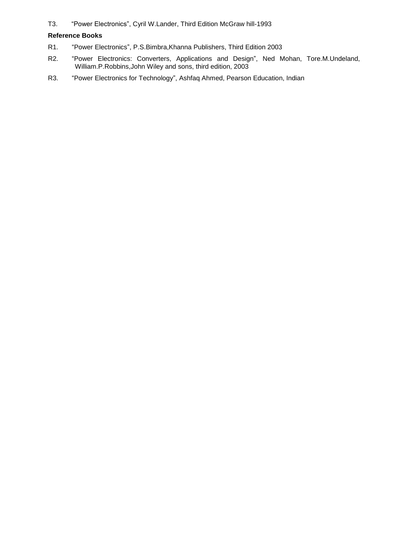T3. "Power Electronics", Cyril W.Lander, Third Edition McGraw hill-1993

## **Reference Books**

- R1. "Power Electronics", P.S.Bimbra,Khanna Publishers, Third Edition 2003
- R2. "Power Electronics: Converters, Applications and Design", Ned Mohan, Tore.M.Undeland, William.P.Robbins,John Wiley and sons, third edition, 2003
- R3. "Power Electronics for Technology", Ashfaq Ahmed, Pearson Education, Indian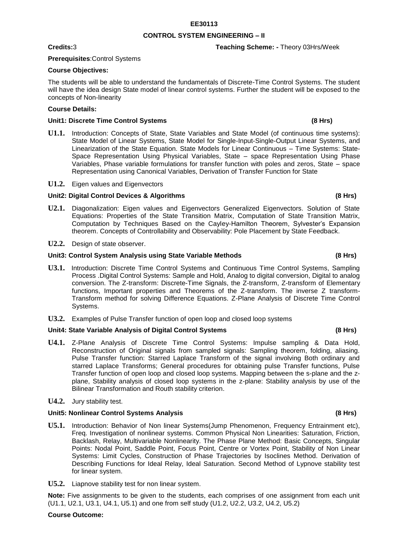# **EE30113**

# **CONTROL SYSTEM ENGINEERING – II**

# **Prerequisites**:Control Systems

# **Course Objectives:**

The students will be able to understand the fundamentals of Discrete-Time Control Systems. The student will have the idea design State model of linear control systems. Further the student will be exposed to the concepts of Non-linearity

## **Course Details:**

## **Unit1: Discrete Time Control Systems (8 Hrs)**

- **U1.1.** Introduction: Concepts of State, State Variables and State Model (of continuous time systems): State Model of Linear Systems, State Model for Single-Input-Single-Output Linear Systems, and Linearization of the State Equation. State Models for Linear Continuous – Time Systems: State-Space Representation Using Physical Variables, State – space Representation Using Phase Variables, Phase variable formulations for transfer function with poles and zeros, State – space Representation using Canonical Variables, Derivation of Transfer Function for State
- **U1.2.** Eigen values and Eigenvectors

## **Unit2: Digital Control Devices & Algorithms (8 Hrs)**

- **U2.1.** Diagonalization: Eigen values and Eigenvectors Generalized Eigenvectors. Solution of State Equations: Properties of the State Transition Matrix, Computation of State Transition Matrix, Computation by Techniques Based on the Cayley-Hamilton Theorem, Sylvester"s Expansion theorem. Concepts of Controllability and Observability: Pole Placement by State Feedback.
- **U2.2.** Design of state observer.

## **Unit3: Control System Analysis using State Variable Methods (8 Hrs)**

- **U3.1.** Introduction: Discrete Time Control Systems and Continuous Time Control Systems, Sampling Process .Digital Control Systems: Sample and Hold, Analog to digital conversion, Digital to analog conversion. The Z-transform: Discrete-Time Signals, the Z-transform, Z-transform of Elementary functions, Important properties and Theorems of the Z-transform. The inverse Z transform-Transform method for solving Difference Equations. Z-Plane Analysis of Discrete Time Control Systems.
- **U3.2.** Examples of Pulse Transfer function of open loop and closed loop systems

## **Unit4: State Variable Analysis of Digital Control Systems (8 Hrs)**

**U4.1.** Z-Plane Analysis of Discrete Time Control Systems: Impulse sampling & Data Hold, Reconstruction of Original signals from sampled signals: Sampling theorem, folding, aliasing. Pulse Transfer function: Starred Laplace Transform of the signal involving Both ordinary and starred Laplace Transforms; General procedures for obtaining pulse Transfer functions, Pulse Transfer function of open loop and closed loop systems. Mapping between the s-plane and the zplane, Stability analysis of closed loop systems in the z-plane: Stability analysis by use of the Bilinear Transformation and Routh stability criterion.

## **U4.2.** Jury stability test.

## **Unit5: Nonlinear Control Systems Analysis (8 Hrs)**

- **U5.1.** Introduction: Behavior of Non linear Systems(Jump Phenomenon, Frequency Entrainment etc), Freq. Investigation of nonlinear systems. Common Physical Non Linearities: Saturation, Friction, Backlash, Relay, Multivariable Nonlinearity. The Phase Plane Method: Basic Concepts, Singular Points: Nodal Point, Saddle Point, Focus Point, Centre or Vortex Point, Stability of Non Linear Systems: Limit Cycles, Construction of Phase Trajectories by Isoclines Method. Derivation of Describing Functions for Ideal Relay, Ideal Saturation. Second Method of Lypnove stability test for linear system.
- **U5.2.** Liapnove stability test for non linear system.

**Note:** Five assignments to be given to the students, each comprises of one assignment from each unit (U1.1, U2.1, U3.1, U4.1, U5.1) and one from self study (U1.2, U2.2, U3.2, U4.2, U5.2)

## **Course Outcome:**

## **Credits:**3 **Teaching Scheme: -** Theory 03Hrs/Week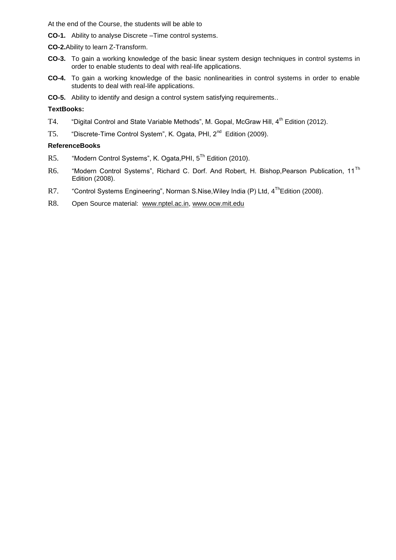At the end of the Course, the students will be able to

- **CO-1.** Ability to analyse Discrete –Time control systems.
- **CO-2.**Ability to learn Z-Transform.
- **CO-3.** To gain a working knowledge of the basic linear system design techniques in control systems in order to enable students to deal with real-life applications.
- **CO-4.** To gain a working knowledge of the basic nonlinearities in control systems in order to enable students to deal with real-life applications.
- **CO-5.** Ability to identify and design a control system satisfying requirements..

## **TextBooks:**

- T4. "Digital Control and State Variable Methods", M. Gopal, McGraw Hill, 4<sup>th</sup> Edition (2012).
- T5. "Discrete-Time Control System", K. Ogata, PHI, 2nd Edition (2009).

## **ReferenceBooks**

- R5. "Modern Control Systems", K. Ogata,PHI, 5 Th Edition (2010).
- R6. "Modern Control Systems", Richard C. Dorf. And Robert, H. Bishop, Pearson Publication, 11<sup>Th</sup> Edition (2008).
- R7. "Control Systems Engineering", Norman S.Nise,Wiley India (P) Ltd, 4 ThEdition (2008).
- R8. Open Source material: [www.nptel.ac.in,](http://www.nptel.ac.in/) [www.ocw.mit.edu](http://www.ocw.mit.edu/)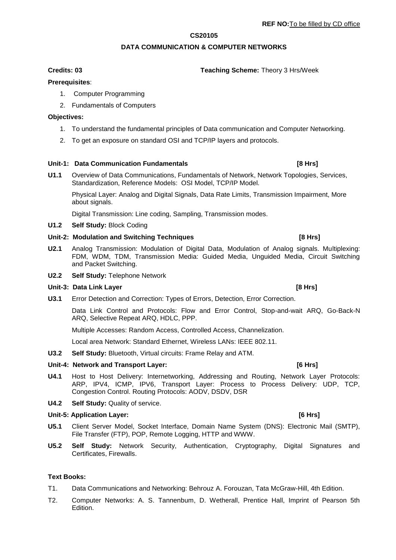## **CS20105**

# **DATA COMMUNICATION & COMPUTER NETWORKS**

## **Prerequisites**:

- 1. Computer Programming
- 2. Fundamentals of Computers

## **Objectives:**

- 1. To understand the fundamental principles of Data communication and Computer Networking.
- 2. To get an exposure on standard OSI and TCP/IP layers and protocols.

## **Unit-1: Data Communication Fundamentals [8 Hrs]** [8 Hrs]

**U1.1** Overview of Data Communications, Fundamentals of Network, Network Topologies, Services, Standardization, Reference Models: OSI Model, TCP/IP Model.

Physical Layer: Analog and Digital Signals, Data Rate Limits, Transmission Impairment, More about signals.

Digital Transmission: Line coding, Sampling, Transmission modes.

## **U1.2 Self Study:** Block Coding

## Unit-2: Modulation and Switching Techniques **[8 Hrs]** [8 Hrs]

- **U2.1** Analog Transmission: Modulation of Digital Data, Modulation of Analog signals. Multiplexing: FDM, WDM, TDM, Transmission Media: Guided Media, Unguided Media, Circuit Switching and Packet Switching.
- **U2.2 Self Study:** Telephone Network

## **Unit-3: Data Link Layer [8 Hrs]**

**U3.1** Error Detection and Correction: Types of Errors, Detection, Error Correction.

Data Link Control and Protocols: Flow and Error Control, Stop-and-wait ARQ, Go-Back-N ARQ, Selective Repeat ARQ, HDLC, PPP.

Multiple Accesses: Random Access, Controlled Access, Channelization.

Local area Network: Standard Ethernet, Wireless LANs: IEEE 802.11.

**U3.2 Self Study:** Bluetooth, Virtual circuits: Frame Relay and ATM.

# Unit-4: Network and Transport Layer: *CONDER 1999 [6 Hrs]* [6 Hrs]

- **U4.1** Host to Host Delivery: Internetworking, Addressing and Routing, Network Layer Protocols: ARP, IPV4, ICMP, IPV6, Transport Layer: Process to Process Delivery: UDP, TCP, Congestion Control. Routing Protocols: AODV, DSDV, DSR
- **U4.2 Self Study:** Quality of service.

## **Unit-5: Application Layer: [6 Hrs]**

- **U5.1** Client Server Model, Socket Interface, Domain Name System (DNS): Electronic Mail (SMTP), File Transfer (FTP), POP, Remote Logging, HTTP and WWW.
- **U5.2 Self Study:** Network Security, Authentication, Cryptography, Digital Signatures and Certificates, Firewalls.

## **Text Books:**

- T1. Data Communications and Networking: Behrouz A. Forouzan, Tata McGraw-Hill, 4th Edition.
- T2. Computer Networks: A. S. Tannenbum, D. Wetherall, Prentice Hall, Imprint of Pearson 5th Edition.

## **Credits: 03 Teaching Scheme:** Theory 3 Hrs/Week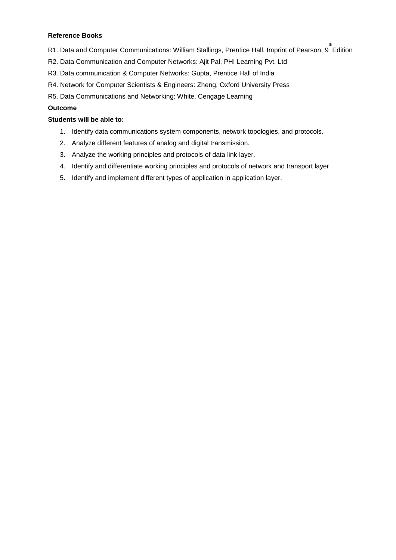## **Reference Books**

- R1. Data and Computer Communications: William Stallings, Prentice Hall, Imprint of Pearson, 9  $\stackrel{\text{th}}{ }$ Edition
- R2. Data Communication and Computer Networks: Ajit Pal, PHI Learning Pvt. Ltd
- R3. Data communication & Computer Networks: Gupta, Prentice Hall of India
- R4. Network for Computer Scientists & Engineers: Zheng, Oxford University Press
- R5. Data Communications and Networking: White, Cengage Learning

# **Outcome**

# **Students will be able to:**

- 1. Identify data communications system components, network topologies, and protocols.
- 2. Analyze different features of analog and digital transmission.
- 3. Analyze the working principles and protocols of data link layer.
- 4. Identify and differentiate working principles and protocols of network and transport layer.
- 5. Identify and implement different types of application in application layer.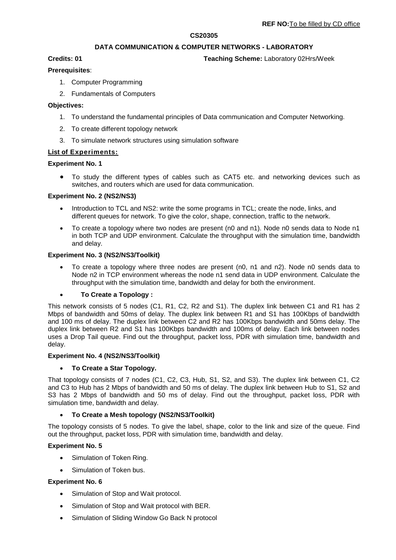## **CS20305**

## **DATA COMMUNICATION & COMPUTER NETWORKS - LABORATORY**

**Credits: 01 Teaching Scheme:** Laboratory 02Hrs/Week

## **Prerequisites**:

- 1. Computer Programming
- 2. Fundamentals of Computers

## **Objectives:**

- 1. To understand the fundamental principles of Data communication and Computer Networking.
- 2. To create different topology network
- 3. To simulate network structures using simulation software

## **List of Experiments:**

## **Experiment No. 1**

 To study the different types of cables such as CAT5 etc. and networking devices such as switches, and routers which are used for data communication.

## **Experiment No. 2 (NS2/NS3)**

- Introduction to TCL and NS2: write the some programs in TCL; create the node, links, and different queues for network. To give the color, shape, connection, traffic to the network.
- To create a topology where two nodes are present (n0 and n1). Node n0 sends data to Node n1 in both TCP and UDP environment. Calculate the throughput with the simulation time, bandwidth and delay.

## **Experiment No. 3 (NS2/NS3/Toolkit)**

 To create a topology where three nodes are present (n0, n1 and n2). Node n0 sends data to Node n2 in TCP environment whereas the node n1 send data in UDP environment. Calculate the throughput with the simulation time, bandwidth and delay for both the environment.

**To Create a Topology :**

This network consists of 5 nodes (C1, R1, C2, R2 and S1). The duplex link between C1 and R1 has 2 Mbps of bandwidth and 50ms of delay. The duplex link between R1 and S1 has 100Kbps of bandwidth and 100 ms of delay. The duplex link between C2 and R2 has 100Kbps bandwidth and 50ms delay. The duplex link between R2 and S1 has 100Kbps bandwidth and 100ms of delay. Each link between nodes uses a Drop Tail queue. Find out the throughput, packet loss, PDR with simulation time, bandwidth and delay.

## **Experiment No. 4 (NS2/NS3/Toolkit)**

## **To Create a Star Topology.**

That topology consists of 7 nodes (C1, C2, C3, Hub, S1, S2, and S3). The duplex link between C1, C2 and C3 to Hub has 2 Mbps of bandwidth and 50 ms of delay. The duplex link between Hub to S1, S2 and S3 has 2 Mbps of bandwidth and 50 ms of delay. Find out the throughput, packet loss, PDR with simulation time, bandwidth and delay.

## **To Create a Mesh topology (NS2/NS3/Toolkit)**

The topology consists of 5 nodes. To give the label, shape, color to the link and size of the queue. Find out the throughput, packet loss, PDR with simulation time, bandwidth and delay.

## **Experiment No. 5**

- Simulation of Token Ring.
- Simulation of Token bus.

## **Experiment No. 6**

- Simulation of Stop and Wait protocol.
- Simulation of Stop and Wait protocol with BER.
- Simulation of Sliding Window Go Back N protocol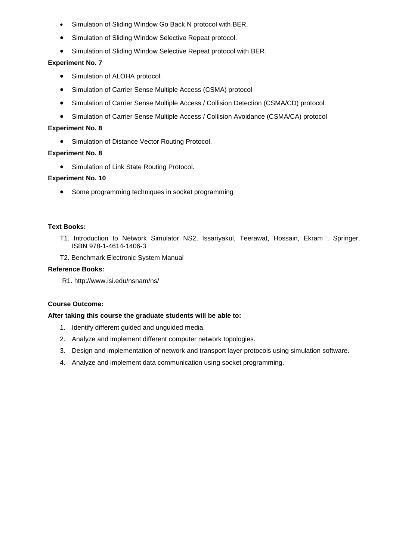- Simulation of Sliding Window Go Back N protocol with BER.
- Simulation of Sliding Window Selective Repeat protocol.
- Simulation of Sliding Window Selective Repeat protocol with BER.

# **Experiment No. 7**

- Simulation of ALOHA protocol.
- Simulation of Carrier Sense Multiple Access (CSMA) protocol
- Simulation of Carrier Sense Multiple Access / Collision Detection (CSMA/CD) protocol.
- Simulation of Carrier Sense Multiple Access / Collision Avoidance (CSMA/CA) protocol

## **Experiment No. 8**

**•** Simulation of Distance Vector Routing Protocol.

## **Experiment No. 8**

• Simulation of Link State Routing Protocol.

## **Experiment No. 10**

• Some programming techniques in socket programming

## **Text Books:**

- T1. Introduction to Network Simulator NS2, Issariyakul, Teerawat, Hossain, Ekram , Springer, ISBN 978-1-4614-1406-3
- T2. Benchmark Electronic System Manual

## **Reference Books:**

R1. http://www.isi.edu/nsnam/ns/

## **Course Outcome:**

## **After taking this course the graduate students will be able to:**

- 1. Identify different guided and unguided media.
- 2. Analyze and implement different computer network topologies.
- 3. Design and implementation of network and transport layer protocols using simulation software.
- 4. Analyze and implement data communication using socket programming.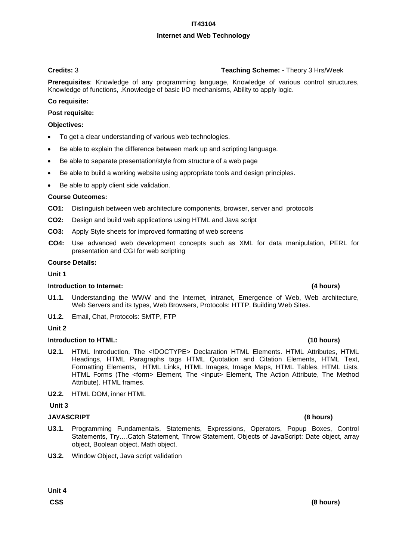# **IT43104**

# **Internet and Web Technology**

# **Credits:** 3 **Teaching Scheme: -** Theory 3 Hrs/Week

**Prerequisites**: Knowledge of any programming language, Knowledge of various control structures, Knowledge of functions, .Knowledge of basic I/O mechanisms, Ability to apply logic.

# **Co requisite:**

# **Post requisite:**

# **Objectives:**

- To get a clear understanding of various web technologies.
- Be able to explain the difference between mark up and scripting language.
- Be able to separate presentation/style from structure of a web page
- Be able to build a working website using appropriate tools and design principles.
- Be able to apply client side validation.

## **Course Outcomes:**

- **CO1:** Distinguish between web architecture components, browser, server and protocols
- **CO2:** Design and build web applications using HTML and Java script
- **CO3:** Apply Style sheets for improved formatting of web screens
- **CO4:** Use advanced web development concepts such as XML for data manipulation, PERL for presentation and CGI for web scripting

## **Course Details:**

## **Unit 1**

## **Introduction to Internet: (4 hours)**

- **U1.1.** Understanding the WWW and the Internet, intranet, Emergence of Web, Web architecture, Web Servers and its types, Web Browsers, Protocols: HTTP, Building Web Sites.
- **U1.2.** Email, Chat, Protocols: SMTP, FTP

## **Unit 2**

## **Introduction to HTML: (10 hours)**

- **U2.1.** HTML Introduction, The <!DOCTYPE> Declaration HTML Elements. HTML Attributes, HTML Headings, HTML Paragraphs tags HTML Quotation and Citation Elements, HTML Text, Formatting Elements, HTML Links, HTML Images, Image Maps, HTML Tables, HTML Lists, HTML Forms (The <form> Element, The <input> Element, The Action Attribute, The Method Attribute). HTML frames.
- **U2.2.** HTML DOM, inner HTML

# **Unit 3**

## **JAVASCRIPT (8 hours)**

- **U3.1.** Programming Fundamentals, Statements, Expressions, Operators, Popup Boxes, Control Statements, Try….Catch Statement, Throw Statement, Objects of JavaScript: Date object, array object, Boolean object, Math object.
- **U3.2.** Window Object, Java script validation

# **CSS (8 hours)**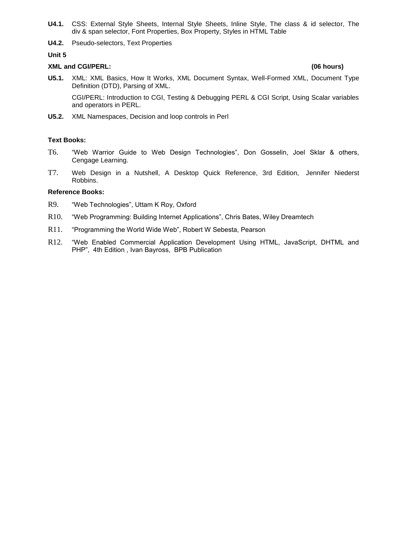- **U4.1.** CSS: External Style Sheets, Internal Style Sheets, Inline Style, The class & id selector, The div & span selector, Font Properties, Box Property, Styles in HTML Table
- **U4.2.** Pseudo-selectors, Text Properties

**Unit 5** 

## **XML and CGI/PERL: (06 hours)**

**U5.1.** XML: XML Basics, How It Works, XML Document Syntax, Well-Formed XML, Document Type Definition (DTD), Parsing of XML.

CGI/PERL: Introduction to CGI, Testing & Debugging PERL & CGI Script, Using Scalar variables and operators in PERL.

**U5.2.** XML Namespaces, Decision and loop controls in Perl

## **Text Books:**

- T6. "Web Warrior Guide to Web Design Technologies", Don Gosselin, Joel Sklar & others, Cengage Learning.
- T7. Web Design in a Nutshell, A Desktop Quick Reference, 3rd Edition, Jennifer Niederst Robbins.

## **Reference Books:**

- R9. "Web Technologies", Uttam K Roy, Oxford
- R10. "Web Programming: Building Internet Applications", Chris Bates, Wiley Dreamtech
- R11. "Programming the World Wide Web", Robert W Sebesta, Pearson
- R12. "Web Enabled Commercial Application Development Using HTML, JavaScript, DHTML and PHP", 4th Edition , Ivan Bayross, BPB Publication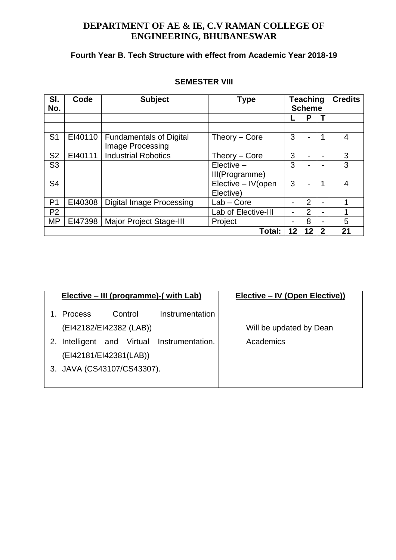# **DEPARTMENT OF AE & IE, C.V RAMAN COLLEGE OF ENGINEERING, BHUBANESWAR**

# **Fourth Year B. Tech Structure with effect from Academic Year 2018-19**

| SI.<br>No.     | Code    | <b>Subject</b>                                     | <b>Type</b>                      |    | <b>Teaching</b><br><b>Scheme</b> |             | <b>Credits</b> |
|----------------|---------|----------------------------------------------------|----------------------------------|----|----------------------------------|-------------|----------------|
|                |         |                                                    |                                  |    | P                                |             |                |
|                |         |                                                    |                                  |    |                                  |             |                |
| S <sub>1</sub> | EI40110 | <b>Fundamentals of Digital</b><br>Image Processing | Theory – Core                    | 3  |                                  |             | $\overline{4}$ |
| S <sub>2</sub> | EI40111 | <b>Industrial Robotics</b>                         | Theory – Core                    | 3  |                                  |             | 3              |
| S <sub>3</sub> |         |                                                    | $Elective -$<br>III(Programme)   | 3  |                                  |             | 3              |
| S <sub>4</sub> |         |                                                    | Elective - IV (open<br>Elective) | 3  |                                  |             | $\overline{4}$ |
| P1             | EI40308 | <b>Digital Image Processing</b>                    | $Lab - Core$                     |    | $\overline{2}$                   |             | 1              |
| P <sub>2</sub> |         |                                                    | Lab of Elective-III              |    | $\overline{2}$                   |             |                |
| <b>MP</b>      | EI47398 | <b>Major Project Stage-III</b>                     | Project                          |    | 8                                |             | 5              |
|                |         |                                                    | Total:                           | 12 | 12                               | $\mathbf 2$ | 21             |

# **SEMESTER VIII**

|                            |                         |  |         | Elective – III (programme)-( with Lab)      | Elective – IV (Open Elective)) |
|----------------------------|-------------------------|--|---------|---------------------------------------------|--------------------------------|
|                            | <b>Process</b>          |  | Control | Instrumentation                             |                                |
|                            | (EI42182/EI42382 (LAB)) |  |         |                                             | Will be updated by Dean        |
|                            |                         |  |         | 2. Intelligent and Virtual Instrumentation. | Academics                      |
|                            | (EI42181/EI42381(LAB))  |  |         |                                             |                                |
| 3. JAVA (CS43107/CS43307). |                         |  |         |                                             |                                |
|                            |                         |  |         |                                             |                                |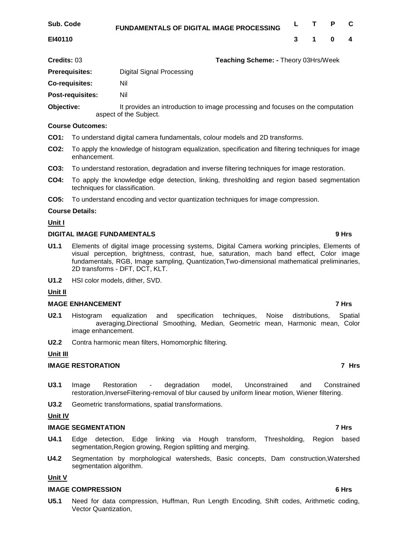| Sub. Code | <b>FUNDAMENTALS OF DIGITAL IMAGE PROCESSING</b> |  | L T P C |  |
|-----------|-------------------------------------------------|--|---------|--|
| EI40110   |                                                 |  | 3 1 0 4 |  |

**Credits:** 03 **Teaching Scheme: -** Theory 03Hrs/Week

**Prerequisites:** Digital Signal Processing

**Co-requisites:** Nil

**Post-requisites:** Nil

**Objective:** It provides an introduction to image processing and focuses on the computation aspect of the Subject.

# **Course Outcomes:**

- **CO1:** To understand digital camera fundamentals, colour models and 2D transforms.
- **CO2:** To apply the knowledge of histogram equalization, specification and filtering techniques for image enhancement.
- **CO3:** To understand restoration, degradation and inverse filtering techniques for image restoration.
- **CO4:** To apply the knowledge edge detection, linking, thresholding and region based segmentation techniques for classification.
- **CO5:** To understand encoding and vector quantization techniques for image compression.

# **Course Details:**

# **Unit I**

# **DIGITAL IMAGE FUNDAMENTALS 9 Hrs**

- **U1.1** Elements of digital image processing systems, Digital Camera working principles, Elements of visual perception, brightness, contrast, hue, saturation, mach band effect, Color image fundamentals, RGB, Image sampling, Quantization,Two-dimensional mathematical preliminaries, 2D transforms - DFT, DCT, KLT.
- **U1.2** HSI color models, dither, SVD.

# **Unit II**

# **MAGE ENHANCEMENT** 7 Hrs

- **U2.1** Histogram equalization and specification techniques, Noise distributions, Spatial averaging,Directional Smoothing, Median, Geometric mean, Harmonic mean, Color image enhancement.
- **U2.2** Contra harmonic mean filters, Homomorphic filtering.

# **Unit III**

# **IMAGE RESTORATION 7 Hrs**

- **U3.1** Image Restoration degradation model, Unconstrained and Constrained restoration,InverseFiltering-removal of blur caused by uniform linear motion, Wiener filtering.
- **U3.2** Geometric transformations, spatial transformations.

# **Unit IV**

# **IMAGE SEGMENTATION** 7 Hrs

- **U4.1** Edge detection, Edge linking via Hough transform, Thresholding, Region based segmentation,Region growing, Region splitting and merging.
- **U4.2** Segmentation by morphological watersheds, Basic concepts, Dam construction,Watershed segmentation algorithm.

# **Unit V**

# **IMAGE COMPRESSION 6 Hrs**

**U5.1** Need for data compression, Huffman, Run Length Encoding, Shift codes, Arithmetic coding, Vector Quantization,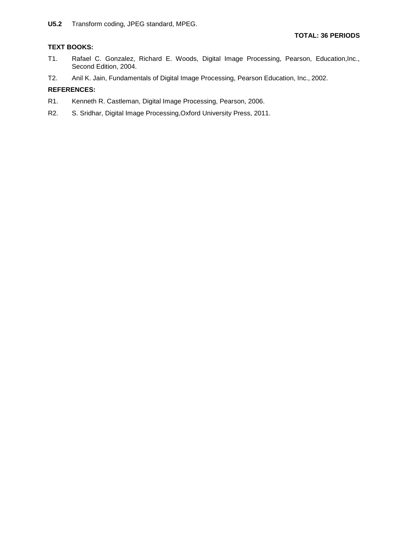# **TEXT BOOKS:**

- T1. Rafael C. Gonzalez, Richard E. Woods, Digital Image Processing, Pearson, Education,Inc., Second Edition, 2004.
- T2. Anil K. Jain, Fundamentals of Digital Image Processing, Pearson Education, Inc., 2002.

## **REFERENCES:**

- R1. Kenneth R. Castleman, Digital Image Processing, Pearson, 2006.
- R2. S. Sridhar, Digital Image Processing,Oxford University Press, 2011.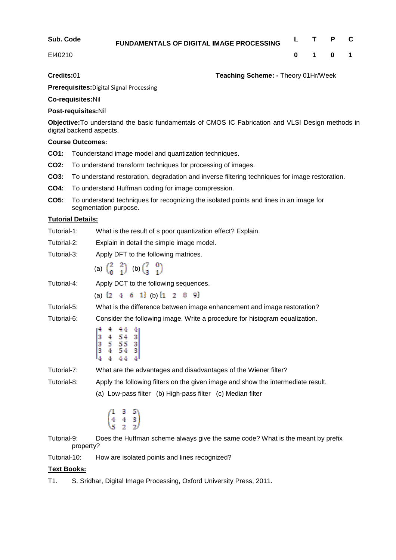| Sub. Code | FUNDAMENTALS OF DIGITAL IMAGE PROCESSING |  | L T P C         |  |
|-----------|------------------------------------------|--|-----------------|--|
| EI40210   |                                          |  | $0 \t1 \t0 \t1$ |  |

**Credits:**01 **Teaching Scheme: -** Theory 01Hr/Week

**Prerequisites:**Digital Signal Processing

**Co-requisites:**Nil

# **Post-requisites:**Nil

**Objective:**To understand the basic fundamentals of CMOS IC Fabrication and VLSI Design methods in digital backend aspects.

# **Course Outcomes:**

- **CO1:** Tounderstand image model and quantization techniques.
- **CO2:** To understand transform techniques for processing of images.
- **CO3:** To understand restoration, degradation and inverse filtering techniques for image restoration.
- **CO4:** To understand Huffman coding for image compression.
- **CO5:** To understand techniques for recognizing the isolated points and lines in an image for segmentation purpose.

# **Tutorial Details:**

- Tutorial-1: What is the result of s poor quantization effect? Explain.
- Tutorial-2: Explain in detail the simple image model.
- Tutorial-3: Apply DFT to the following matrices.
	- (a)  $\begin{pmatrix} 2 & 2 \\ 0 & 1 \end{pmatrix}$  (b)  $\begin{pmatrix} 7 & 0 \\ 3 & 1 \end{pmatrix}$

Tutorial-4: Apply DCT to the following sequences.

(a)  $\{2 \quad 4 \quad 6 \quad 1\}$  (b)  $\{1 \quad 2 \quad 8 \quad 9\}$ 

Tutorial-5: What is the difference between image enhancement and image restoration?

Tutorial-6: Consider the following image. Write a procedure for histogram equalization.

$$
\begin{bmatrix}4&4&44&4\\3&4&54&3\\3&5&55&3\\3&4&54&3\\4&4&44&4\end{bmatrix}
$$

Tutorial-7: What are the advantages and disadvantages of the Wiener filter?

Tutorial-8: Apply the following filters on the given image and show the intermediate result. (a) Low-pass filter (b) High-pass filter (c) Median filter

$$
\begin{pmatrix} 1 & 3 & 5 \\ 4 & 4 & 3 \\ 5 & 2 & 2 \end{pmatrix}
$$

Tutorial-9: Does the Huffman scheme always give the same code? What is the meant by prefix property?

Tutorial-10: How are isolated points and lines recognized?

# **Text Books:**

T1. S. Sridhar, Digital Image Processing, Oxford University Press, 2011.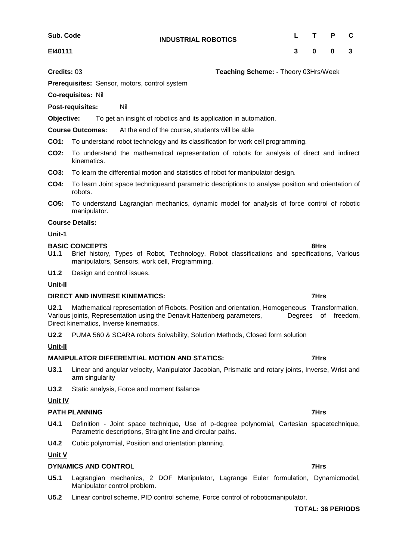**INDUSTRIAL ROBOTICS <sup>L</sup> <sup>T</sup> <sup>P</sup> <sup>C</sup>**

**Sub. Code EI40111**

**Credits:** 03 **Teaching Scheme: -** Theory 03Hrs/Week

**Prerequisites:** Sensor, motors, control system

**Co-requisites:** Nil

**Post-requisites:** Nil

**Objective:** To get an insight of robotics and its application in automation.

**Course Outcomes:** At the end of the course, students will be able

**CO1:** To understand robot technology and its classification for work cell programming.

- **CO2:** To understand the mathematical representation of robots for analysis of direct and indirect kinematics.
- **CO3:** To learn the differential motion and statistics of robot for manipulator design.
- **CO4:** To learn Joint space techniqueand parametric descriptions to analyse position and orientation of robots.
- **CO5:** To understand Lagrangian mechanics, dynamic model for analysis of force control of robotic manipulator.

## **Course Details:**

## **Unit-1**

## **BASIC CONCEPTS** 8Hrs **8Hrs**

- **U1.1** Brief history, Types of Robot, Technology, Robot classifications and specifications, Various manipulators, Sensors, work cell, Programming.
- **U1.2** Design and control issues.

## **Unit-II**

## **DIRECT AND INVERSE KINEMATICS:** 7Hrs

**U2.1** Mathematical representation of Robots, Position and orientation, Homogeneous Transformation, Various joints, Representation using the Denavit Hattenberg parameters, Degrees of freedom, Direct kinematics, Inverse kinematics.

**U2.2** PUMA 560 & SCARA robots Solvability, Solution Methods, Closed form solution

## **Unit-II**

# **MANIPULATOR DIFFERENTIAL MOTION AND STATICS: 7Hrs**

- **U3.1** Linear and angular velocity, Manipulator Jacobian, Prismatic and rotary joints, Inverse, Wrist and arm singularity
- **U3.2** Static analysis, Force and moment Balance

## **Unit IV**

## **PATH PLANNING** 7Hrs **7Hrs 7Hrs**

- **U4.1** Definition Joint space technique, Use of p-degree polynomial, Cartesian spacetechnique, Parametric descriptions, Straight line and circular paths.
- **U4.2** Cubic polynomial, Position and orientation planning.

# **Unit V**

# **DYNAMICS AND CONTROL 7Hrs**

- **U5.1** Lagrangian mechanics, 2 DOF Manipulator, Lagrange Euler formulation, Dynamicmodel, Manipulator control problem.
- **U5.2** Linear control scheme, PID control scheme, Force control of roboticmanipulator.

## **TOTAL: 36 PERIODS**

# **3 0 0 3**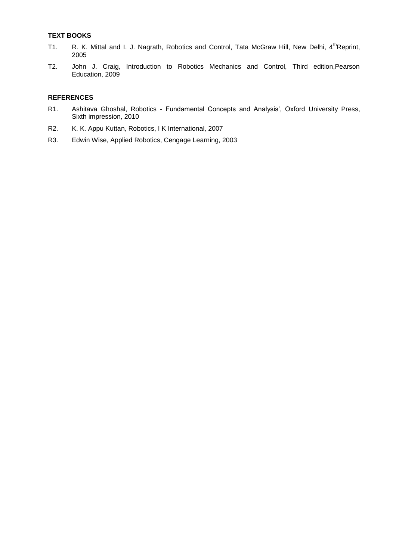# **TEXT BOOKS**

- T1. R. K. Mittal and I. J. Nagrath, Robotics and Control, Tata McGraw Hill, New Delhi, 4<sup>th</sup>Reprint, 2005
- T2. John J. Craig, Introduction to Robotics Mechanics and Control, Third edition,Pearson Education, 2009

# **REFERENCES**

- R1. Ashitava Ghoshal, Robotics Fundamental Concepts and Analysis', Oxford University Press, Sixth impression, 2010
- R2. K. K. Appu Kuttan, Robotics, I K International, 2007
- R3. Edwin Wise, Applied Robotics, Cengage Learning, 2003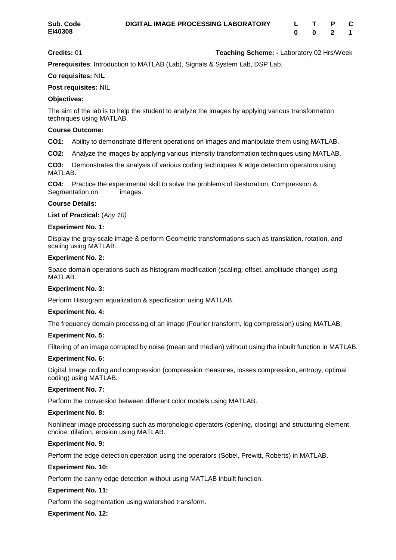**Credits:** 01 **Teaching Scheme: -** Laboratory 02 Hrs/Week

**Prerequisites**: Introduction to MATLAB (Lab), Signals & System Lab, DSP Lab.

## **Co requisites:** NI**L**

## **Post requisites:** NIL

## **Objectives:**

The aim of the lab is to help the student to analyze the images by applying various transformation techniques using MATLAB.

## **Course Outcome:**

**CO1:** Ability to demonstrate different operations on images and manipulate them using MATLAB.

**CO2:** Analyze the images by applying various intensity transformation techniques using MATLAB.

**CO3:** Demonstrates the analysis of various coding techniques & edge detection operators using MATLAB.

**CO4:** Practice the experimental skill to solve the problems of Restoration, Compression & Segmentation on images.

## **Course Details:**

**List of Practical:** (*Any 10)* 

## **Experiment No. 1:**

Display the gray scale image & perform Geometric transformations such as translation, rotation, and scaling using MATLAB.

## **Experiment No. 2:**

Space domain operations such as histogram modification (scaling, offset, amplitude change) using MATLAB.

## **Experiment No. 3:**

Perform Histogram equalization & specification using MATLAB.

## **Experiment No. 4:**

The frequency domain processing of an image (Fourier transform, log compression) using MATLAB.

## **Experiment No. 5:**

Filtering of an image corrupted by noise (mean and median) without using the inbuilt function in MATLAB.

## **Experiment No. 6:**

Digital Image coding and compression (compression measures, losses compression, entropy, optimal coding) using MATLAB.

## **Experiment No. 7:**

Perform the conversion between different color models using MATLAB.

## **Experiment No. 8:**

Nonlinear image processing such as morphologic operators (opening, closing) and structuring element choice, dilation, erosion using MATLAB.

## **Experiment No. 9:**

Perform the edge detection operation using the operators (Sobel, Prewitt, Roberts) in MATLAB.

## **Experiment No. 10:**

Perform the canny edge detection without using MATLAB inbuilt function.

## **Experiment No. 11:**

Perform the segmentation using watershed transform.

## **Experiment No. 12:**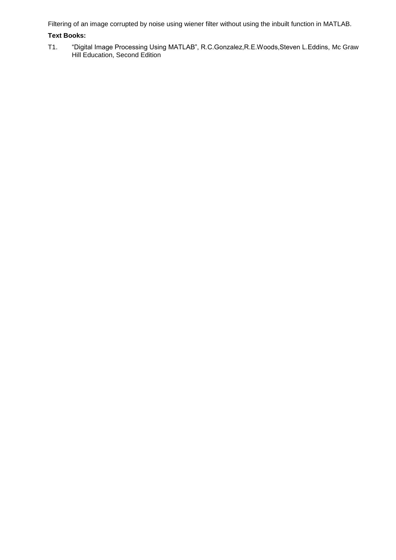Filtering of an image corrupted by noise using wiener filter without using the inbuilt function in MATLAB.

# **Text Books:**

T1. "Digital Image Processing Using MATLAB", R.C.Gonzalez,R.E.Woods,Steven L.Eddins, Mc Graw Hill Education, Second Edition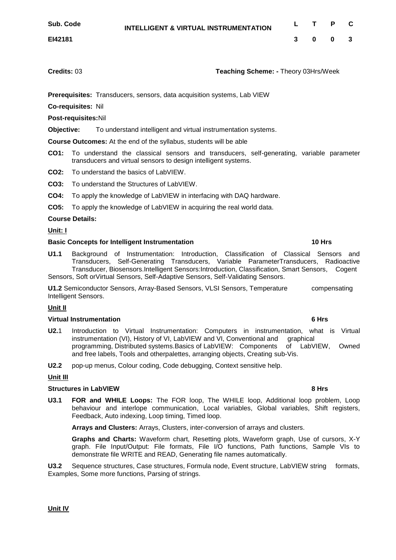**Credits:** 03 **Teaching Scheme: -** Theory 03Hrs/Week

**3 0 0 3**

**Prerequisites:** Transducers, sensors, data acquisition systems, Lab VIEW

**Co-requisites:** Nil

**Post-requisites:**Nil

**Objective:** To understand intelligent and virtual instrumentation systems.

**Course Outcomes:** At the end of the syllabus, students will be able

- **CO1:** To understand the classical sensors and transducers, self-generating, variable parameter transducers and virtual sensors to design intelligent systems.
- **CO2:** To understand the basics of LabVIEW.
- **CO3:** To understand the Structures of LabVIEW.
- **CO4:** To apply the knowledge of LabVIEW in interfacing with DAQ hardware.
- **CO5:** To apply the knowledge of LabVIEW in acquiring the real world data.

## **Course Details:**

**Unit: I**

## **Basic Concepts for Intelligent Instrumentation 10 Hrs**

**U1.1** Background of Instrumentation: Introduction, Classification of Classical Sensors and Transducers, Self-Generating Transducers, Variable ParameterTransducers, Radioactive Transducer, Biosensors.Intelligent Sensors:Introduction, Classification, Smart Sensors, Cogent Sensors, Soft orVirtual Sensors, Self-Adaptive Sensors, Self-Validating Sensors.

**U1.2** Semiconductor Sensors, Array-Based Sensors, VLSI Sensors, Temperature compensating Intelligent Sensors.

## **Unit II**

## **Virtual Instrumentation 6 Hrs**

**U2.**1 Introduction to Virtual Instrumentation: Computers in instrumentation, what is Virtual instrumentation (VI), History of VI, LabVIEW and VI, Conventional and graphical programming, Distributed systems.Basics of LabVIEW: Components of LabVIEW, Owned and free labels, Tools and otherpalettes, arranging objects, Creating sub-Vis.

**U2.2** pop-up menus, Colour coding, Code debugging, Context sensitive help.

## **Unit III**

## **Structures in LabVIEW 8 Hrs**

**U3.1 FOR and WHILE Loops:** The FOR loop, The WHILE loop, Additional loop problem, Loop behaviour and interlope communication, Local variables, Global variables, Shift registers, Feedback, Auto indexing, Loop timing, Timed loop.

**Arrays and Clusters:** Arrays, Clusters, inter-conversion of arrays and clusters.

**Graphs and Charts:** Waveform chart, Resetting plots, Waveform graph, Use of cursors, X-Y graph. File Input/Output: File formats, File I/O functions, Path functions, Sample VIs to demonstrate file WRITE and READ, Generating file names automatically.

**U3.2** Sequence structures, Case structures, Formula node, Event structure, LabVIEW string formats, Examples, Some more functions, Parsing of strings.

**Unit IV**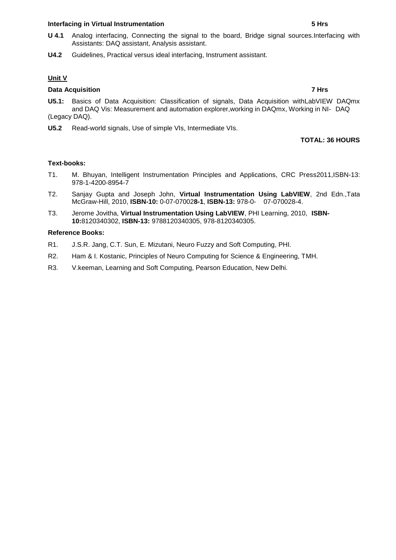## **Interfacing in Virtual Instrumentation 5 Hrs**

- **U 4.1** Analog interfacing, Connecting the signal to the board, Bridge signal sources.Interfacing with Assistants: DAQ assistant, Analysis assistant.
- **U4.2** Guidelines, Practical versus ideal interfacing, Instrument assistant.

# **Unit V**

## **Data Acquisition 7 Hrs**

- **U5.1:** Basics of Data Acquisition: Classification of signals, Data Acquisition withLabVIEW DAQmx and DAQ Vis: Measurement and automation explorer,working in DAQmx, Working in NI- DAQ (Legacy DAQ).
- **U5.2** Read-world signals, Use of simple VIs, Intermediate VIs.

## **TOTAL: 36 HOURS**

## **Text-books:**

- T1. M. Bhuyan, Intelligent Instrumentation Principles and Applications, CRC Press2011,ISBN-13: 978-1-4200-8954-7
- T2. Sanjay Gupta and Joseph John, **Virtual Instrumentation Using LabVIEW**, 2nd Edn.,Tata McGraw-Hill, 2010, **ISBN-10:** 0-07-07002**8-1**, **ISBN-13:** 978-0- 07-070028-4.
- T3. Jerome Jovitha, **Virtual Instrumentation Using LabVIEW**, PHI Learning, 2010, **ISBN-10:**8120340302, **ISBN-13:** 9788120340305, 978-8120340305.

## **Reference Books:**

- R1. J.S.R. Jang, C.T. Sun, E. Mizutani, Neuro Fuzzy and Soft Computing, PHI.
- R2. Ham & I. Kostanic, Principles of Neuro Computing for Science & Engineering, TMH.
- R3. V.keeman, Learning and Soft Computing, Pearson Education, New Delhi.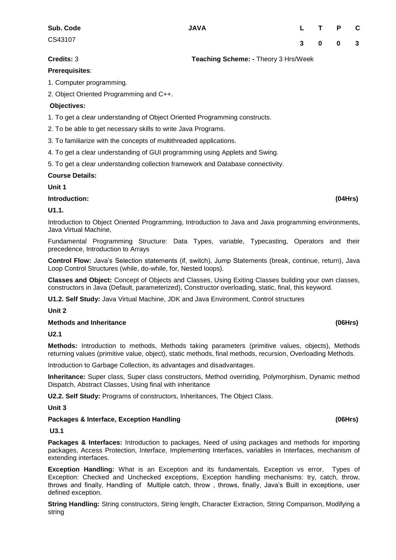# **Credits:** 3 **Teaching Scheme: -** Theory 3 Hrs/Week

## **Prerequisites**:

1. Computer programming.

2. Object Oriented Programming and C++.

## **Objectives:**

1. To get a clear understanding of Object Oriented Programming constructs.

2. To be able to get necessary skills to write Java Programs.

3. To familiarize with the concepts of multithreaded applications.

4. To get a clear understanding of GUI programming using Applets and Swing.

5. To get a clear understanding collection framework and Database connectivity.

## **Course Details:**

**Unit 1** 

**Introduction: (04Hrs)** 

## **U1.1.**

Introduction to Object Oriented Programming, Introduction to Java and Java programming environments, Java Virtual Machine,

Fundamental Programming Structure: Data Types, variable, Typecasting, Operators and their precedence, Introduction to Arrays

**Control Flow:** Java"s Selection statements (if, switch), Jump Statements (break, continue, return), Java Loop Control Structures (while, do-while, for, Nested loops).

**Classes and Object:** Concept of Objects and Classes, Using Exiting Classes building your own classes, constructors in Java (Default, parameterized), Constructor overloading, static, final, this keyword.

**U1.2. Self Study:** Java Virtual Machine, JDK and Java Environment, Control structures

**Unit 2** 

## **Methods and Inheritance (06Hrs)**

**U2.1**

**Methods:** Introduction to methods, Methods taking parameters (primitive values, objects), Methods returning values (primitive value, object), static methods, final methods, recursion, Overloading Methods.

Introduction to Garbage Collection, its advantages and disadvantages.

**Inheritance:** Super class, Super class constructors, Method overriding, Polymorphism, Dynamic method Dispatch, Abstract Classes, Using final with inheritance

**U2.2. Self Study:** Programs of constructors, Inheritances, The Object Class.

**Unit 3** 

## **Packages & Interface, Exception Handling (06Hrs)**

**U3.1** 

**Packages & Interfaces:** Introduction to packages, Need of using packages and methods for importing packages, Access Protection, Interface, Implementing Interfaces, variables in Interfaces, mechanism of extending interfaces.

**Exception Handling:** What is an Exception and its fundamentals, Exception vs error, Types of Exception: Checked and Unchecked exceptions, Exception handling mechanisms: try, catch, throw, throws and finally, Handling of Multiple catch, throw , throws, finally, Java"s Built in exceptions, user defined exception.

**String Handling:** String constructors, String length, Character Extraction, String Comparison, Modifying a string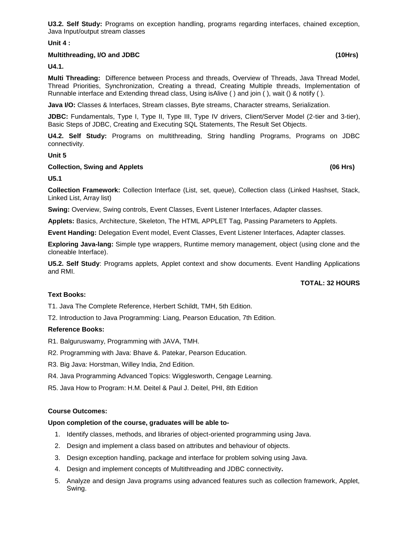**U3.2. Self Study:** Programs on exception handling, programs regarding interfaces, chained exception, Java Input/output stream classes

**Unit 4 :** 

## **Multithreading, I/O and JDBC (10Hrs)**

**U4.1.** 

**Multi Threading:** Difference between Process and threads, Overview of Threads, Java Thread Model, Thread Priorities, Synchronization, Creating a thread, Creating Multiple threads, Implementation of Runnable interface and Extending thread class, Using isAlive ( ) and join ( ), wait () & notify ( ).

**Java I/O:** Classes & Interfaces, Stream classes, Byte streams, Character streams, Serialization.

JDBC: Fundamentals, Type I, Type II, Type III, Type IV drivers, Client/Server Model (2-tier and 3-tier), Basic Steps of JDBC, Creating and Executing SQL Statements, The Result Set Objects.

**U4.2. Self Study:** Programs on multithreading, String handling Programs, Programs on JDBC connectivity.

## **Unit 5**

## **Collection, Swing and Applets (06 Hrs)**

**U5.1**

**Collection Framework:** Collection Interface (List, set, queue), Collection class (Linked Hashset, Stack, Linked List, Array list)

**Swing:** Overview, Swing controls, Event Classes, Event Listener Interfaces, Adapter classes.

**Applets:** Basics, Architecture, Skeleton, The HTML APPLET Tag, Passing Parameters to Applets.

**Event Handing:** Delegation Event model, Event Classes, Event Listener Interfaces, Adapter classes.

**Exploring Java-lang:** Simple type wrappers, Runtime memory management, object (using clone and the cloneable Interface).

**U5.2. Self Study**: Programs applets, Applet context and show documents. Event Handling Applications and RMI.

## **TOTAL: 32 HOURS**

## **Text Books:**

T1. Java The Complete Reference, Herbert Schildt, TMH, 5th Edition.

T2. Introduction to Java Programming: Liang, Pearson Education, 7th Edition.

## **Reference Books:**

R1. Balguruswamy, Programming with JAVA, TMH.

- R2. Programming with Java: Bhave &. Patekar, Pearson Education.
- R3. Big Java: Horstman, Willey India, 2nd Edition.
- R4. Java Programming Advanced Topics: Wigglesworth, Cengage Learning.

R5. Java How to Program: H.M. Deitel & Paul J. Deitel, PHI, 8th Edition

## **Course Outcomes:**

## **Upon completion of the course, graduates will be able to-**

- 1. Identify classes, methods, and libraries of object-oriented programming using Java.
- 2. Design and implement a class based on attributes and behaviour of objects.
- 3. Design exception handling, package and interface for problem solving using Java.
- 4. Design and implement concepts of Multithreading and JDBC connectivity**.**
- 5. Analyze and design Java programs using advanced features such as collection framework, Applet, Swing.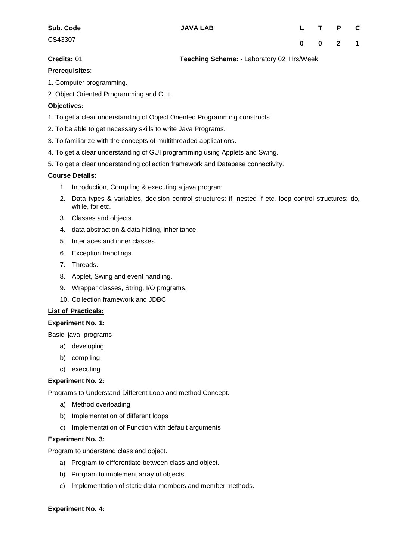**Credits:** 01 **Teaching Scheme: -** Laboratory 02 Hrs/Week

## **Prerequisites**:

1. Computer programming.

2. Object Oriented Programming and C++.

# **Objectives:**

- 1. To get a clear understanding of Object Oriented Programming constructs.
- 2. To be able to get necessary skills to write Java Programs.
- 3. To familiarize with the concepts of multithreaded applications.
- 4. To get a clear understanding of GUI programming using Applets and Swing.
- 5. To get a clear understanding collection framework and Database connectivity.

## **Course Details:**

- 1. Introduction, Compiling & executing a java program.
- 2. Data types & variables, decision control structures: if, nested if etc. loop control structures: do, while, for etc.
- 3. Classes and objects.
- 4. data abstraction & data hiding, inheritance.
- 5. Interfaces and inner classes.
- 6. Exception handlings.
- 7. Threads.
- 8. Applet, Swing and event handling.
- 9. Wrapper classes, String, I/O programs.
- 10. Collection framework and JDBC.

## **List of Practicals:**

## **Experiment No. 1:**

Basic java programs

- a) developing
- b) compiling
- c) executing

## **Experiment No. 2:**

Programs to Understand Different Loop and method Concept.

- a) Method overloading
- b) Implementation of different loops
- c) Implementation of Function with default arguments

## **Experiment No. 3:**

Program to understand class and object.

- a) Program to differentiate between class and object.
- b) Program to implement array of objects.
- c) Implementation of static data members and member methods.

## **Experiment No. 4:**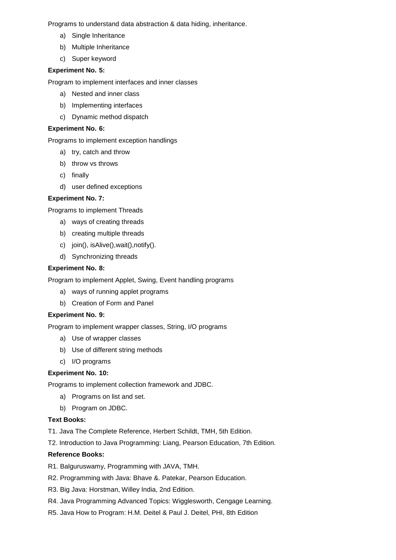Programs to understand data abstraction & data hiding, inheritance.

- a) Single Inheritance
- b) Multiple Inheritance
- c) Super keyword

# **Experiment No. 5:**

Program to implement interfaces and inner classes

- a) Nested and inner class
- b) Implementing interfaces
- c) Dynamic method dispatch

# **Experiment No. 6:**

Programs to implement exception handlings

- a) try, catch and throw
- b) throw vs throws
- c) finally
- d) user defined exceptions

# **Experiment No. 7:**

Programs to implement Threads

- a) ways of creating threads
- b) creating multiple threads
- c) join(), isAlive(),wait(),notify().
- d) Synchronizing threads

## **Experiment No. 8:**

Program to implement Applet, Swing, Event handling programs

- a) ways of running applet programs
- b) Creation of Form and Panel

## **Experiment No. 9:**

Program to implement wrapper classes, String, I/O programs

- a) Use of wrapper classes
- b) Use of different string methods
- c) I/O programs

## **Experiment No. 10:**

Programs to implement collection framework and JDBC.

- a) Programs on list and set.
- b) Program on JDBC.

## **Text Books:**

T1. Java The Complete Reference, Herbert Schildt, TMH, 5th Edition.

T2. Introduction to Java Programming: Liang, Pearson Education, 7th Edition.

## **Reference Books:**

- R1. Balguruswamy, Programming with JAVA, TMH.
- R2. Programming with Java: Bhave &. Patekar, Pearson Education.
- R3. Big Java: Horstman, Willey India, 2nd Edition.
- R4. Java Programming Advanced Topics: Wigglesworth, Cengage Learning.
- R5. Java How to Program: H.M. Deitel & Paul J. Deitel, PHI, 8th Edition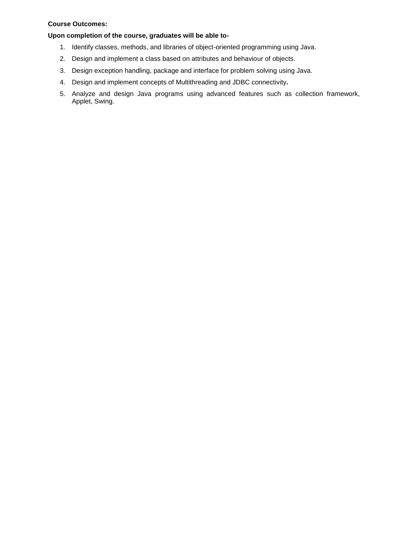## **Course Outcomes:**

## **Upon completion of the course, graduates will be able to-**

- 1. Identify classes, methods, and libraries of object-oriented programming using Java.
- 2. Design and implement a class based on attributes and behaviour of objects.
- 3. Design exception handling, package and interface for problem solving using Java.
- 4. Design and implement concepts of Multithreading and JDBC connectivity**.**
- 5. Analyze and design Java programs using advanced features such as collection framework, Applet, Swing.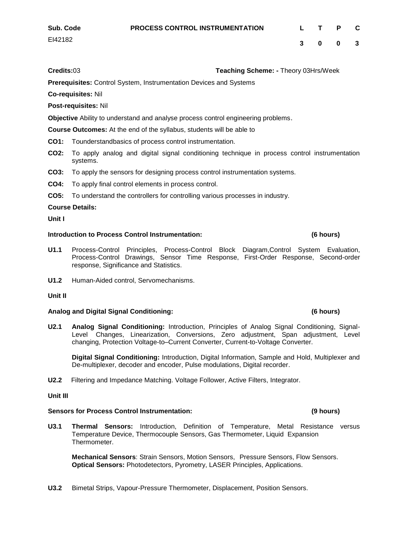**Credits:**03 **Teaching Scheme: -** Theory 03Hrs/Week

**Prerequisites:** Control System, Instrumentation Devices and Systems

**Co-requisites:** Nil

**Post-requisites:** Nil

**Objective** Ability to understand and analyse process control engineering problems.

**Course Outcomes:** At the end of the syllabus, students will be able to

- **CO1:** Tounderstandbasics of process control instrumentation.
- **CO2:** To apply analog and digital signal conditioning technique in process control instrumentation systems.
- **CO3:** To apply the sensors for designing process control instrumentation systems.
- **CO4:** To apply final control elements in process control.
- **CO5:** To understand the controllers for controlling various processes in industry.

## **Course Details:**

**Unit I**

## **Introduction to Process Control Instrumentation: (6 hours)**

- **U1.1** Process-Control Principles, Process-Control Block Diagram,Control System Evaluation, Process-Control Drawings, Sensor Time Response, First-Order Response, Second-order response, Significance and Statistics.
- **U1.2** Human-Aided control, Servomechanisms.

## **Unit II**

## **Analog and Digital Signal Conditioning: (6 hours)**

**U2.1 Analog Signal Conditioning:** Introduction, Principles of Analog Signal Conditioning, Signal-Level Changes, Linearization, Conversions, Zero adjustment, Span adjustment, Level changing, Protection Voltage-to–Current Converter, Current-to-Voltage Converter.

**Digital Signal Conditioning:** Introduction, Digital Information, Sample and Hold, Multiplexer and De-multiplexer, decoder and encoder, Pulse modulations, Digital recorder.

**U2.2** Filtering and Impedance Matching. Voltage Follower, Active Filters, Integrator.

## **Unit III**

## **Sensors for Process Control Instrumentation: (9 hours)**

**U3.1 Thermal Sensors:** Introduction, Definition of Temperature, Metal Resistance versus Temperature Device, Thermocouple Sensors, Gas Thermometer, Liquid Expansion Thermometer.

**Mechanical Sensors**: Strain Sensors, Motion Sensors, Pressure Sensors, Flow Sensors. **Optical Sensors:** Photodetectors, Pyrometry, LASER Principles, Applications.

**U3.2** Bimetal Strips, Vapour-Pressure Thermometer, Displacement, Position Sensors.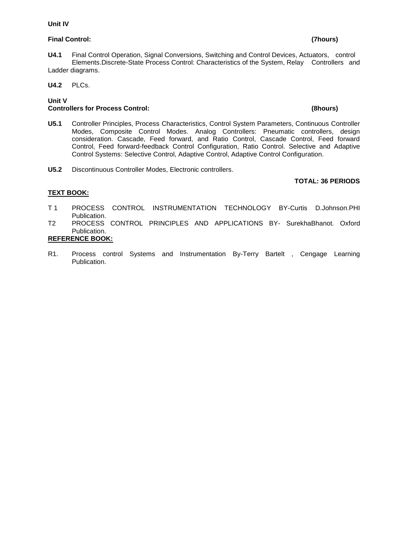## **Unit IV**

# **Final Control: (7hours)**

## **U4.1** Final Control Operation, Signal Conversions, Switching and Control Devices, Actuators, control Elements.Discrete-State Process Control: Characteristics of the System, Relay Controllers and Ladder diagrams.

**U4.2** PLCs.

# **Unit V Controllers for Process Control: (8hours)**

- **U5.1** Controller Principles, Process Characteristics, Control System Parameters, Continuous Controller Modes, Composite Control Modes. Analog Controllers: Pneumatic controllers, design consideration. Cascade, Feed forward, and Ratio Control, Cascade Control, Feed forward Control, Feed forward-feedback Control Configuration, Ratio Control. Selective and Adaptive Control Systems: Selective Control, Adaptive Control, Adaptive Control Configuration.
- **U5.2** Discontinuous Controller Modes, Electronic controllers.

## **TOTAL: 36 PERIODS**

# **TEXT BOOK:**

- T 1 PROCESS CONTROL INSTRUMENTATION TECHNOLOGY BY-Curtis D.Johnson.PHI Publication.
- T2 PROCESS CONTROL PRINCIPLES AND APPLICATIONS BY- SurekhaBhanot. Oxford Publication.

# **REFERENCE BOOK:**

R1. Process control Systems and Instrumentation By-Terry Bartelt , Cengage Learning Publication.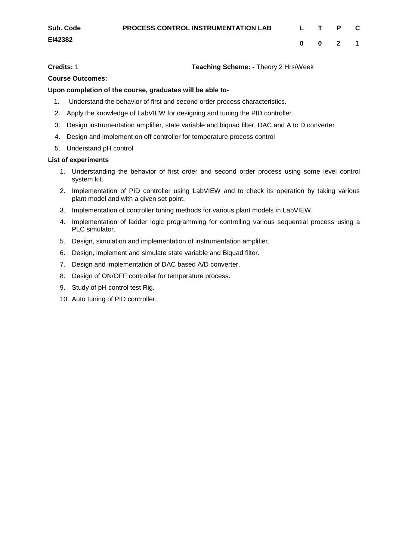**Credits:** 1 **Teaching Scheme: -** Theory 2 Hrs/Week

# **Course Outcomes:**

## **Upon completion of the course, graduates will be able to-**

- 1. Understand the behavior of first and second order process characteristics.
- 2. Apply the knowledge of LabVIEW for designing and tuning the PID controller.
- 3. Design instrumentation amplifier, state variable and biquad filter, DAC and A to D converter.
- 4. Design and implement on off controller for temperature process control
- 5. Understand pH control

## **List of experiments**

- 1. Understanding the behavior of first order and second order process using some level control system kit.
- 2. Implementation of PID controller using LabVIEW and to check its operation by taking various plant model and with a given set point.
- 3. Implementation of controller tuning methods for various plant models in LabVIEW.
- 4. Implementation of ladder logic programming for controlling various sequential process using a PLC simulator.
- 5. Design, simulation and implementation of instrumentation amplifier.
- 6. Design, implement and simulate state variable and Biquad filter.
- 7. Design and implementation of DAC based A/D converter.
- 8. Design of ON/OFF controller for temperature process.
- 9. Study of pH control test Rig.
- 10. Auto tuning of PID controller.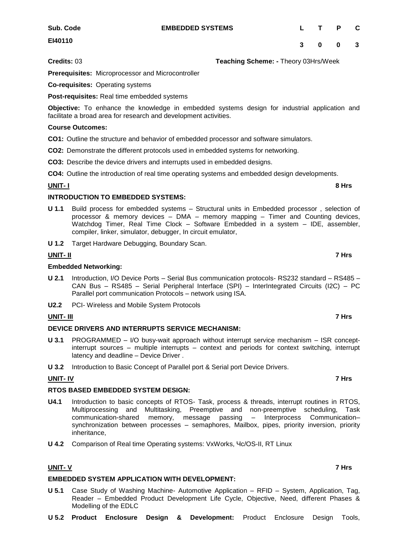**EMBEDDED SYSTEMS L T P C**

**3 0 0 3**

**EI40110**

**Credits:** 03 **Teaching Scheme: -** Theory 03Hrs/Week

**Prerequisites:** Microprocessor and Microcontroller

**Co-requisites:** Operating systems

**Post-requisites:** Real time embedded systems

**Objective:** To enhance the knowledge in embedded systems design for industrial application and facilitate a broad area for research and development activities.

## **Course Outcomes:**

**CO1:** Outline the structure and behavior of embedded processor and software simulators.

**CO2:** Demonstrate the different protocols used in embedded systems for networking.

**CO3:** Describe the device drivers and interrupts used in embedded designs.

**CO4:** Outline the introduction of real time operating systems and embedded design developments.

## **UNIT- I 8 Hrs**

## **INTRODUCTION TO EMBEDDED SYSTEMS:**

- **U 1.1** Build process for embedded systems Structural units in Embedded processor , selection of processor & memory devices – DMA – memory mapping – Timer and Counting devices, Watchdog Timer, Real Time Clock – Software Embedded in a system – IDE, assembler, compiler, linker, simulator, debugger, In circuit emulator,
- **U 1.2** Target Hardware Debugging, Boundary Scan.

# **UNIT- II 7 Hrs**

## **Embedded Networking:**

- **U 2.1** Introduction, I/O Device Ports Serial Bus communication protocols- RS232 standard RS485 CAN Bus – RS485 – Serial Peripheral Interface (SPI) – InterIntegrated Circuits (I2C) – PC Parallel port communication Protocols – network using ISA.
- **U2.2** PCI- Wireless and Mobile System Protocols

## **UNIT- III 7 Hrs**

## **DEVICE DRIVERS AND INTERRUPTS SERVICE MECHANISM:**

- **U 3.1** PROGRAMMED I/O busy-wait approach without interrupt service mechanism ISR conceptinterrupt sources – multiple interrupts – context and periods for context switching, interrupt latency and deadline – Device Driver .
- **U 3.2** Introduction to Basic Concept of Parallel port & Serial port Device Drivers.

## **UNIT- IV 7 Hrs**

## **RTOS BASED EMBEDDED SYSTEM DESIGN:**

- **U4.1** Introduction to basic concepts of RTOS- Task, process & threads, interrupt routines in RTOS, Multiprocessing and Multitasking, Preemptive and non-preemptive scheduling, Task communication-shared memory, message passing – Interprocess Communication– synchronization between processes – semaphores, Mailbox, pipes, priority inversion, priority inheritance,
- **U 4.2** Comparison of Real time Operating systems: VxWorks, Чc/OS-II, RT Linux

# **UNIT- V 7 Hrs**

# **EMBEDDED SYSTEM APPLICATION WITH DEVELOPMENT:**

- **U 5.1** Case Study of Washing Machine- Automotive Application RFID System, Application, Tag, Reader – Embedded Product Development Life Cycle, Objective, Need, different Phases & Modelling of the EDLC
- **U 5.2 Product Enclosure Design & Development:** Product Enclosure Design Tools,

# **Sub. Code**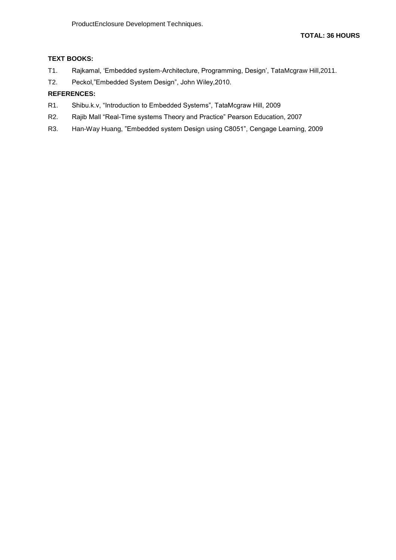# **TEXT BOOKS:**

- T1. Rajkamal, "Embedded system-Architecture, Programming, Design", TataMcgraw Hill,2011.
- T2. Peckol,"Embedded System Design", John Wiley,2010.

# **REFERENCES:**

- R1. Shibu.k.v, "Introduction to Embedded Systems", TataMcgraw Hill, 2009
- R2. Rajib Mall "Real-Time systems Theory and Practice" Pearson Education, 2007
- R3. Han-Way Huang, "Embedded system Design using C8051", Cengage Learning, 2009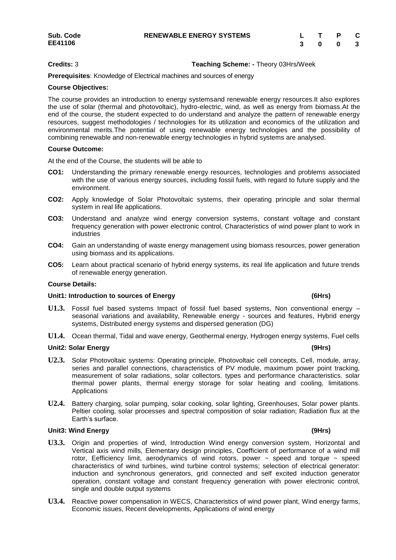## **Credits:** 3 **Teaching Scheme: -** Theory 03Hrs/Week

**Prerequisites**: Knowledge of Electrical machines and sources of energy

## **Course Objectives:**

The course provides an introduction to energy systemsand renewable energy resources.It also explores the use of solar (thermal and photovoltaic), hydro-electric, wind, as well as energy from biomass.At the end of the course, the student expected to do understand and analyze the pattern of renewable energy resources, suggest methodologies / technologies for its utilization and economics of the utilization and environmental merits.The potential of using renewable energy technologies and the possibility of combining renewable and non-renewable energy technologies in hybrid systems are analysed.

## **Course Outcome:**

At the end of the Course, the students will be able to

- **CO1:** Understanding the primary renewable energy resources, technologies and problems associated with the use of various energy sources, including fossil fuels, with regard to future supply and the environment.
- **CO2:** Apply knowledge of Solar Photovoltaic systems, their operating principle and solar thermal system in real life applications.
- **CO3:** Understand and analyze wind energy conversion systems, constant voltage and constant frequency generation with power electronic control, Characteristics of wind power plant to work in industries
- **CO4:** Gain an understanding of waste energy management using biomass resources, power generation using biomass and its applications.
- **CO5:** Learn about practical scenario of hybrid energy systems, its real life application and future trends of renewable energy generation.

## **Course Details:**

## **Unit1: Introduction to sources of Energy (6Hrs)**

- **U1.3.** Fossil fuel based systems Impact of fossil fuel based systems, Non conventional energy seasonal variations and availability, Renewable energy - sources and features, Hybrid energy systems, Distributed energy systems and dispersed generation (DG)
- **U1.4.** Ocean thermal, Tidal and wave energy, Geothermal energy, Hydrogen energy systems, Fuel cells

## **Unit2: Solar Energy (9Hrs)**

- **U2.3.** Solar Photovoltaic systems: Operating principle, Photovoltaic cell concepts, Cell, module, array, series and parallel connections, characteristics of PV module, maximum power point tracking, measurement of solar radiations, solar collectors. types and performance characteristics. solar thermal power plants, thermal energy storage for solar heating and cooling, limitations. Applications
- **U2.4.** Battery charging, solar pumping, solar cooking, solar lighting, Greenhouses, Solar power plants. Peltier cooling, solar processes and spectral composition of solar radiation; Radiation flux at the Earth's surface.

## **Unit3: Wind Energy (9Hrs)**

- **U3.3.** Origin and properties of wind, Introduction Wind energy conversion system, Horizontal and Vertical axis wind mills, Elementary design principles, Coefficient of performance of a wind mill rotor, Eefficiency limit, aerodynamics of wind rotors, power  $\sim$  speed and torque  $\sim$  speed characteristics of wind turbines, wind turbine control systems; selection of electrical generator: induction and synchronous generators, grid connected and self excited induction generator operation, constant voltage and constant frequency generation with power electronic control, single and double output systems
- **U3.4.** Reactive power compensation in WECS, Characteristics of wind power plant, Wind energy farms, Economic issues, Recent developments, Applications of wind energy